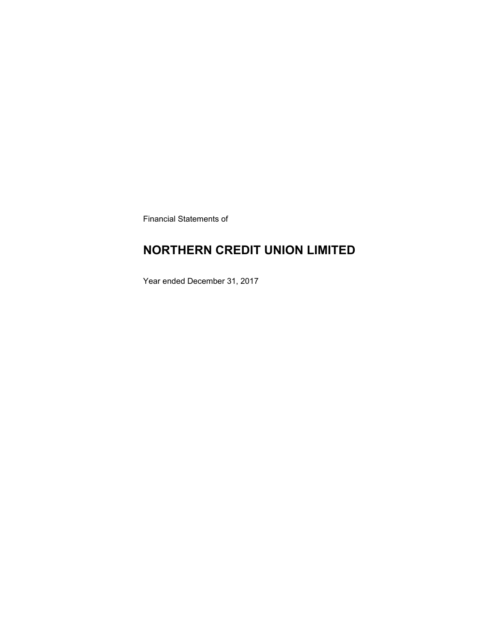Financial Statements of

### **NORTHERN CREDIT UNION LIMITED**

Year ended December 31, 2017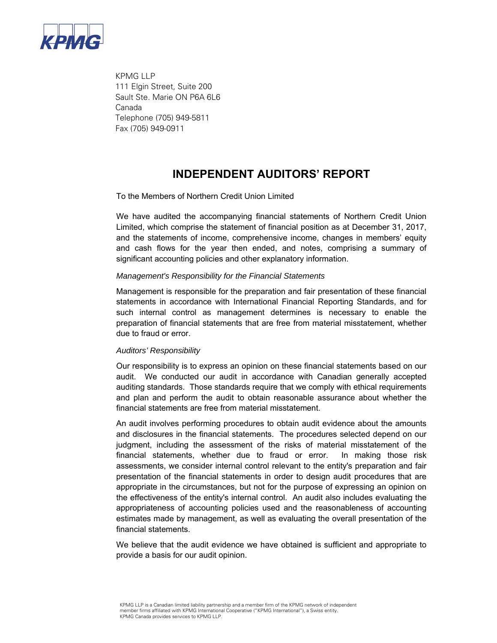

 KPMG LLP 111 Elgin Street, Suite 200 Sault Ste. Marie ON P6A 6L6 Canada Telephone (705) 949-5811 Fax (705) 949-0911

### **INDEPENDENT AUDITORS' REPORT**

To the Members of Northern Credit Union Limited

We have audited the accompanying financial statements of Northern Credit Union Limited, which comprise the statement of financial position as at December 31, 2017, and the statements of income, comprehensive income, changes in members' equity and cash flows for the year then ended, and notes, comprising a summary of significant accounting policies and other explanatory information.

#### *Management's Responsibility for the Financial Statements*

Management is responsible for the preparation and fair presentation of these financial statements in accordance with International Financial Reporting Standards, and for such internal control as management determines is necessary to enable the preparation of financial statements that are free from material misstatement, whether due to fraud or error.

#### *Auditors' Responsibility*

Our responsibility is to express an opinion on these financial statements based on our audit. We conducted our audit in accordance with Canadian generally accepted auditing standards. Those standards require that we comply with ethical requirements and plan and perform the audit to obtain reasonable assurance about whether the financial statements are free from material misstatement.

An audit involves performing procedures to obtain audit evidence about the amounts and disclosures in the financial statements. The procedures selected depend on our judgment, including the assessment of the risks of material misstatement of the financial statements, whether due to fraud or error. In making those risk assessments, we consider internal control relevant to the entity's preparation and fair presentation of the financial statements in order to design audit procedures that are appropriate in the circumstances, but not for the purpose of expressing an opinion on the effectiveness of the entity's internal control. An audit also includes evaluating the appropriateness of accounting policies used and the reasonableness of accounting estimates made by management, as well as evaluating the overall presentation of the financial statements.

We believe that the audit evidence we have obtained is sufficient and appropriate to provide a basis for our audit opinion.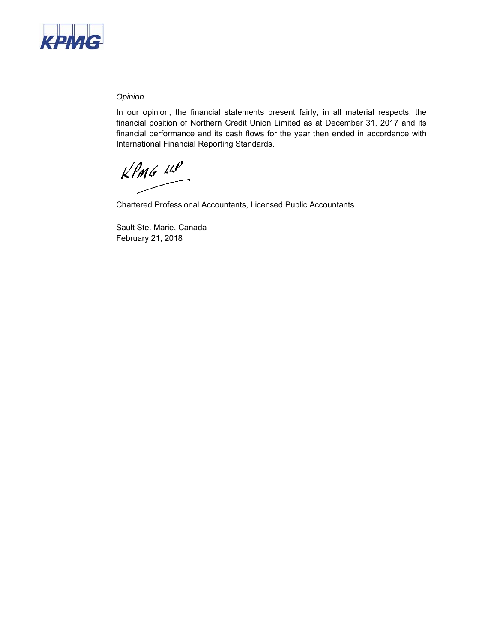

### *Opinion*

In our opinion, the financial statements present fairly, in all material respects, the financial position of Northern Credit Union Limited as at December 31, 2017 and its financial performance and its cash flows for the year then ended in accordance with International Financial Reporting Standards.

 $KPMG$  14P

Chartered Professional Accountants, Licensed Public Accountants

Sault Ste. Marie, Canada February 21, 2018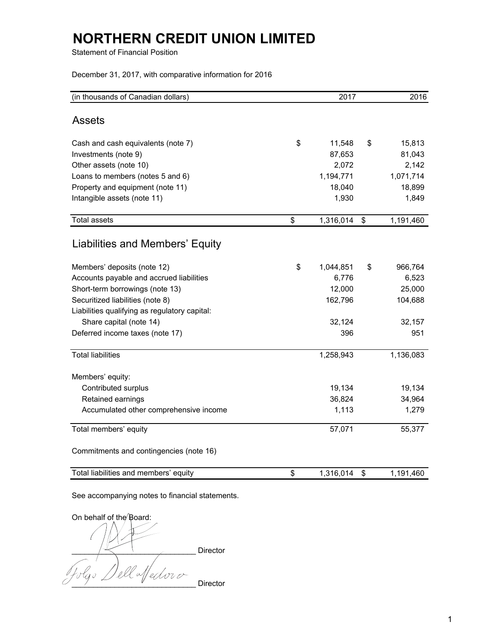Statement of Financial Position

December 31, 2017, with comparative information for 2016

| (in thousands of Canadian dollars)            | 2017            | 2016            |
|-----------------------------------------------|-----------------|-----------------|
| <b>Assets</b>                                 |                 |                 |
| Cash and cash equivalents (note 7)            | \$<br>11,548    | \$<br>15,813    |
| Investments (note 9)                          | 87,653          | 81,043          |
| Other assets (note 10)                        | 2,072           | 2,142           |
| Loans to members (notes 5 and 6)              | 1,194,771       | 1,071,714       |
| Property and equipment (note 11)              | 18,040          | 18,899          |
| Intangible assets (note 11)                   | 1,930           | 1,849           |
| <b>Total assets</b>                           | \$<br>1,316,014 | \$<br>1,191,460 |
| Liabilities and Members' Equity               |                 |                 |
| Members' deposits (note 12)                   | \$<br>1,044,851 | \$<br>966,764   |
| Accounts payable and accrued liabilities      | 6,776           | 6,523           |
| Short-term borrowings (note 13)               | 12,000          | 25,000          |
| Securitized liabilities (note 8)              | 162,796         | 104,688         |
| Liabilities qualifying as regulatory capital: |                 |                 |
| Share capital (note 14)                       | 32,124          | 32,157          |
| Deferred income taxes (note 17)               | 396             | 951             |
| <b>Total liabilities</b>                      | 1,258,943       | 1,136,083       |
| Members' equity:                              |                 |                 |
| Contributed surplus                           | 19,134          | 19,134          |
| Retained earnings                             | 36,824          | 34,964          |
| Accumulated other comprehensive income        | 1,113           | 1,279           |
| Total members' equity                         | 57,071          | 55,377          |
| Commitments and contingencies (note 16)       |                 |                 |
| Total liabilities and members' equity         | \$<br>1,316,014 | \$<br>1,191,460 |

On behalf of the Board: Director  $\sqrt{\frac{1}{\sigma}}$  Dell Medoro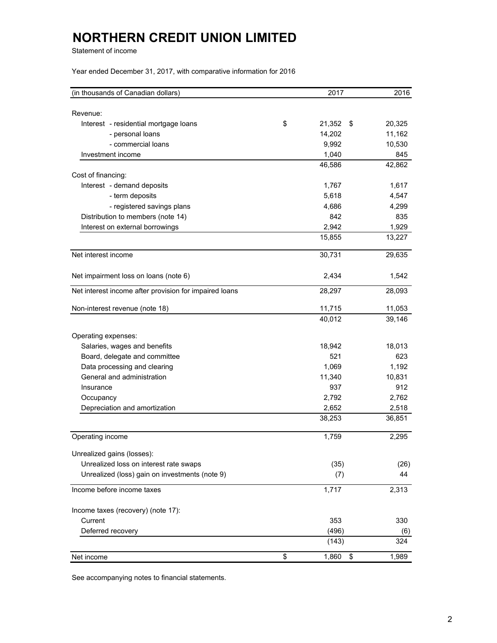Statement of income

#### Year ended December 31, 2017, with comparative information for 2016

| (in thousands of Canadian dollars)                     | 2017               | 2016   |
|--------------------------------------------------------|--------------------|--------|
| Revenue:                                               |                    |        |
| Interest - residential mortgage loans                  | \$<br>21,352<br>\$ | 20,325 |
| - personal loans                                       | 14,202             | 11,162 |
| - commercial loans                                     | 9,992              | 10,530 |
| Investment income                                      | 1,040              | 845    |
|                                                        | 46,586             | 42,862 |
| Cost of financing:                                     |                    |        |
| Interest - demand deposits                             | 1,767              | 1,617  |
| - term deposits                                        | 5,618              | 4,547  |
| - registered savings plans                             | 4,686              | 4,299  |
| Distribution to members (note 14)                      | 842                | 835    |
| Interest on external borrowings                        | 2,942              | 1,929  |
|                                                        | 15,855             | 13,227 |
| Net interest income                                    | 30,731             | 29,635 |
| Net impairment loss on loans (note 6)                  | 2,434              | 1,542  |
|                                                        |                    |        |
| Net interest income after provision for impaired loans | 28,297             | 28,093 |
| Non-interest revenue (note 18)                         | 11,715             | 11,053 |
|                                                        | 40,012             | 39,146 |
| Operating expenses:                                    |                    |        |
| Salaries, wages and benefits                           | 18,942             | 18,013 |
| Board, delegate and committee                          | 521                | 623    |
| Data processing and clearing                           | 1,069              | 1,192  |
| General and administration                             | 11,340             | 10,831 |
| Insurance                                              | 937                | 912    |
| Occupancy                                              | 2,792              | 2,762  |
| Depreciation and amortization                          | 2,652              | 2,518  |
|                                                        | 38,253             | 36,851 |
| Operating income                                       | 1,759              | 2,295  |
| Unrealized gains (losses):                             |                    |        |
| Unrealized loss on interest rate swaps                 | (35)               | (26)   |
| Unrealized (loss) gain on investments (note 9)         | (7)                | 44     |
| Income before income taxes                             | 1,717              | 2,313  |
| Income taxes (recovery) (note 17):                     |                    |        |
| Current                                                | 353                | 330    |
| Deferred recovery                                      | (496)              | (6)    |
|                                                        | (143)              | 324    |
| Net income                                             | \$<br>1,860<br>\$  | 1,989  |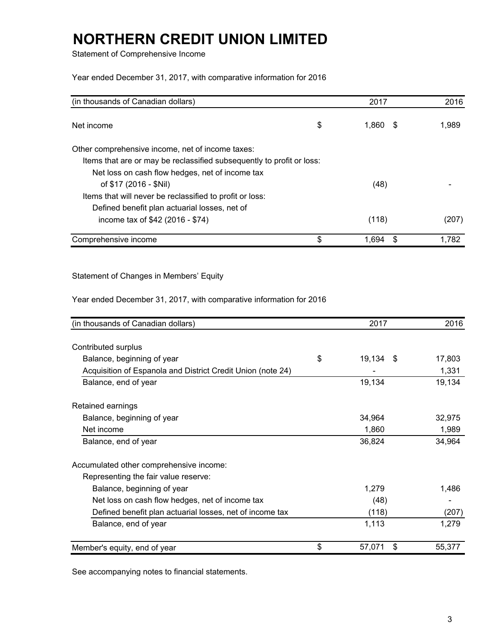Statement of Comprehensive Income

Year ended December 31, 2017, with comparative information for 2016

| (in thousands of Canadian dollars)                                    | 2017                | 2016  |
|-----------------------------------------------------------------------|---------------------|-------|
| Net income                                                            | \$<br>1.860<br>- \$ | 1,989 |
| Other comprehensive income, net of income taxes:                      |                     |       |
| Items that are or may be reclassified subsequently to profit or loss: |                     |       |
| Net loss on cash flow hedges, net of income tax                       |                     |       |
| of \$17 (2016 - \$Nil)                                                | (48)                |       |
| Items that will never be reclassified to profit or loss:              |                     |       |
| Defined benefit plan actuarial losses, net of                         |                     |       |
| income tax of \$42 (2016 - \$74)                                      | (118)               | (207) |
| Comprehensive income                                                  | \$<br>1.694<br>S    | 1.782 |

#### Statement of Changes in Members' Equity

Year ended December 31, 2017, with comparative information for 2016

| (in thousands of Canadian dollars)                          | 2017               | 2016   |
|-------------------------------------------------------------|--------------------|--------|
|                                                             |                    |        |
| Contributed surplus                                         |                    |        |
| Balance, beginning of year                                  | \$<br>$19,134$ \$  | 17,803 |
| Acquisition of Espanola and District Credit Union (note 24) |                    | 1,331  |
| Balance, end of year                                        | 19,134             | 19,134 |
| Retained earnings                                           |                    |        |
| Balance, beginning of year                                  | 34,964             | 32,975 |
| Net income                                                  | 1,860              | 1,989  |
| Balance, end of year                                        | 36,824             | 34,964 |
| Accumulated other comprehensive income:                     |                    |        |
| Representing the fair value reserve:                        |                    |        |
| Balance, beginning of year                                  | 1,279              | 1,486  |
| Net loss on cash flow hedges, net of income tax             | (48)               |        |
| Defined benefit plan actuarial losses, net of income tax    | (118)              | (207)  |
| Balance, end of year                                        | 1,113              | 1,279  |
| Member's equity, end of year                                | \$<br>\$<br>57,071 | 55,377 |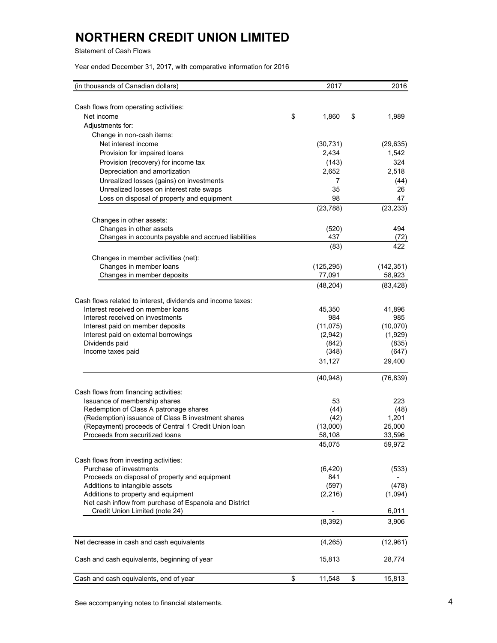Statement of Cash Flows

Year ended December 31, 2017, with comparative information for 2016

| (in thousands of Canadian dollars)                             | 2017         | 2016         |
|----------------------------------------------------------------|--------------|--------------|
| Cash flows from operating activities:                          |              |              |
| Net income                                                     | \$<br>1,860  | \$<br>1,989  |
| Adjustments for:                                               |              |              |
| Change in non-cash items:                                      |              |              |
| Net interest income                                            | (30, 731)    | (29, 635)    |
| Provision for impaired loans                                   | 2,434        | 1,542        |
| Provision (recovery) for income tax                            | (143)        | 324          |
| Depreciation and amortization                                  | 2.652        | 2,518        |
| Unrealized losses (gains) on investments                       | 7            | (44)         |
| Unrealized losses on interest rate swaps                       | 35           | 26           |
| Loss on disposal of property and equipment                     | 98           | 47           |
|                                                                | (23, 788)    | (23, 233)    |
| Changes in other assets:                                       |              |              |
| Changes in other assets                                        | (520)        | 494          |
| Changes in accounts payable and accrued liabilities            | 437          | (72)         |
|                                                                | (83)         | 422          |
|                                                                |              |              |
| Changes in member activities (net):<br>Changes in member loans | (125, 295)   | (142, 351)   |
| Changes in member deposits                                     | 77,091       | 58,923       |
|                                                                |              | (83, 428)    |
|                                                                | (48, 204)    |              |
| Cash flows related to interest, dividends and income taxes:    |              |              |
| Interest received on member loans                              | 45,350       | 41,896       |
| Interest received on investments                               | 984          | 985          |
| Interest paid on member deposits                               | (11, 075)    | (10,070)     |
| Interest paid on external borrowings                           | (2,942)      | (1,929)      |
| Dividends paid                                                 | (842)        | (835)        |
| Income taxes paid                                              | (348)        | (647)        |
|                                                                | 31,127       | 29,400       |
|                                                                | (40, 948)    | (76, 839)    |
| Cash flows from financing activities:                          |              |              |
| Issuance of membership shares                                  | 53           | 223          |
| Redemption of Class A patronage shares                         | (44)         | (48)         |
| (Redemption) issuance of Class B investment shares             | (42)         | 1,201        |
| (Repayment) proceeds of Central 1 Credit Union loan            | (13,000)     | 25,000       |
| Proceeds from securitized loans                                | 58,108       | 33,596       |
|                                                                | 45,075       | 59,972       |
| Cash flows from investing activities:                          |              |              |
| Purchase of investments                                        | (6, 420)     | (533)        |
| Proceeds on disposal of property and equipment                 | 841          |              |
| Additions to intangible assets                                 | (597)        | (478)        |
| Additions to property and equipment                            | (2, 216)     | (1,094)      |
| Net cash inflow from purchase of Espanola and District         |              |              |
| Credit Union Limited (note 24)                                 |              | 6,011        |
|                                                                | (8,392)      | 3,906        |
| Net decrease in cash and cash equivalents                      | (4,265)      | (12,961)     |
| Cash and cash equivalents, beginning of year                   | 15,813       | 28,774       |
|                                                                |              |              |
| Cash and cash equivalents, end of year                         | \$<br>11,548 | \$<br>15,813 |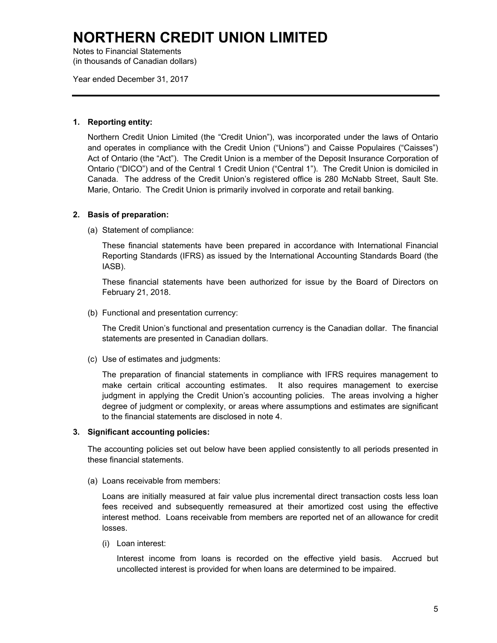Notes to Financial Statements (in thousands of Canadian dollars)

Year ended December 31, 2017

### **1. Reporting entity:**

Northern Credit Union Limited (the "Credit Union"), was incorporated under the laws of Ontario and operates in compliance with the Credit Union ("Unions") and Caisse Populaires ("Caisses") Act of Ontario (the "Act"). The Credit Union is a member of the Deposit Insurance Corporation of Ontario ("DICO") and of the Central 1 Credit Union ("Central 1"). The Credit Union is domiciled in Canada. The address of the Credit Union's registered office is 280 McNabb Street, Sault Ste. Marie, Ontario. The Credit Union is primarily involved in corporate and retail banking.

### **2. Basis of preparation:**

(a) Statement of compliance:

These financial statements have been prepared in accordance with International Financial Reporting Standards (IFRS) as issued by the International Accounting Standards Board (the IASB).

These financial statements have been authorized for issue by the Board of Directors on February 21, 2018.

(b) Functional and presentation currency:

The Credit Union's functional and presentation currency is the Canadian dollar. The financial statements are presented in Canadian dollars.

(c) Use of estimates and judgments:

The preparation of financial statements in compliance with IFRS requires management to make certain critical accounting estimates. It also requires management to exercise judgment in applying the Credit Union's accounting policies. The areas involving a higher degree of judgment or complexity, or areas where assumptions and estimates are significant to the financial statements are disclosed in note 4.

### **3. Significant accounting policies:**

The accounting policies set out below have been applied consistently to all periods presented in these financial statements.

(a) Loans receivable from members:

Loans are initially measured at fair value plus incremental direct transaction costs less loan fees received and subsequently remeasured at their amortized cost using the effective interest method. Loans receivable from members are reported net of an allowance for credit losses.

(i) Loan interest:

 Interest income from loans is recorded on the effective yield basis. Accrued but uncollected interest is provided for when loans are determined to be impaired.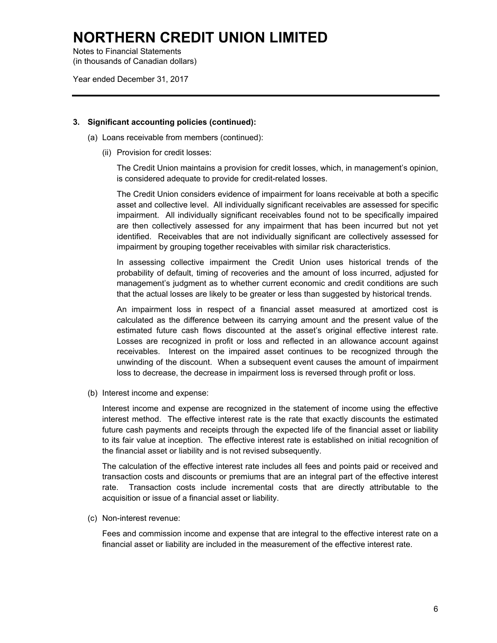Notes to Financial Statements (in thousands of Canadian dollars)

Year ended December 31, 2017

#### **3. Significant accounting policies (continued):**

- (a) Loans receivable from members (continued):
	- (ii) Provision for credit losses:

 The Credit Union maintains a provision for credit losses, which, in management's opinion, is considered adequate to provide for credit-related losses.

 The Credit Union considers evidence of impairment for loans receivable at both a specific asset and collective level. All individually significant receivables are assessed for specific impairment. All individually significant receivables found not to be specifically impaired are then collectively assessed for any impairment that has been incurred but not yet identified. Receivables that are not individually significant are collectively assessed for impairment by grouping together receivables with similar risk characteristics.

 In assessing collective impairment the Credit Union uses historical trends of the probability of default, timing of recoveries and the amount of loss incurred, adjusted for management's judgment as to whether current economic and credit conditions are such that the actual losses are likely to be greater or less than suggested by historical trends.

 An impairment loss in respect of a financial asset measured at amortized cost is calculated as the difference between its carrying amount and the present value of the estimated future cash flows discounted at the asset's original effective interest rate. Losses are recognized in profit or loss and reflected in an allowance account against receivables. Interest on the impaired asset continues to be recognized through the unwinding of the discount. When a subsequent event causes the amount of impairment loss to decrease, the decrease in impairment loss is reversed through profit or loss.

(b) Interest income and expense:

 Interest income and expense are recognized in the statement of income using the effective interest method. The effective interest rate is the rate that exactly discounts the estimated future cash payments and receipts through the expected life of the financial asset or liability to its fair value at inception. The effective interest rate is established on initial recognition of the financial asset or liability and is not revised subsequently.

 The calculation of the effective interest rate includes all fees and points paid or received and transaction costs and discounts or premiums that are an integral part of the effective interest rate. Transaction costs include incremental costs that are directly attributable to the acquisition or issue of a financial asset or liability.

(c) Non-interest revenue:

Fees and commission income and expense that are integral to the effective interest rate on a financial asset or liability are included in the measurement of the effective interest rate.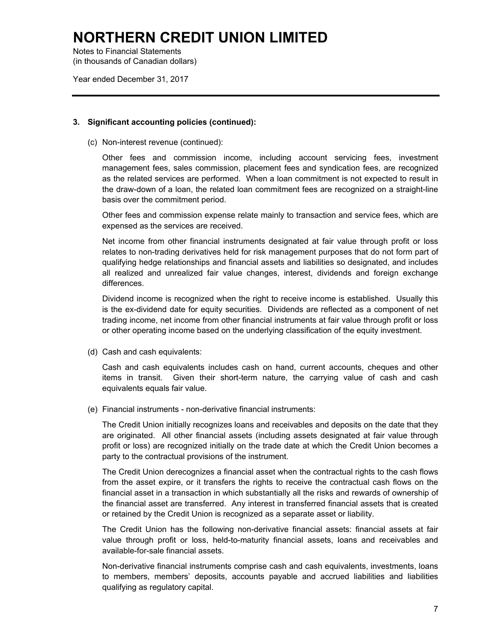Notes to Financial Statements (in thousands of Canadian dollars)

Year ended December 31, 2017

#### **3. Significant accounting policies (continued):**

(c) Non-interest revenue (continued):

Other fees and commission income, including account servicing fees, investment management fees, sales commission, placement fees and syndication fees, are recognized as the related services are performed. When a loan commitment is not expected to result in the draw-down of a loan, the related loan commitment fees are recognized on a straight-line basis over the commitment period.

Other fees and commission expense relate mainly to transaction and service fees, which are expensed as the services are received.

Net income from other financial instruments designated at fair value through profit or loss relates to non-trading derivatives held for risk management purposes that do not form part of qualifying hedge relationships and financial assets and liabilities so designated, and includes all realized and unrealized fair value changes, interest, dividends and foreign exchange differences.

Dividend income is recognized when the right to receive income is established. Usually this is the ex-dividend date for equity securities. Dividends are reflected as a component of net trading income, net income from other financial instruments at fair value through profit or loss or other operating income based on the underlying classification of the equity investment.

(d) Cash and cash equivalents:

Cash and cash equivalents includes cash on hand, current accounts, cheques and other items in transit. Given their short-term nature, the carrying value of cash and cash equivalents equals fair value.

(e) Financial instruments - non-derivative financial instruments:

 The Credit Union initially recognizes loans and receivables and deposits on the date that they are originated. All other financial assets (including assets designated at fair value through profit or loss) are recognized initially on the trade date at which the Credit Union becomes a party to the contractual provisions of the instrument.

The Credit Union derecognizes a financial asset when the contractual rights to the cash flows from the asset expire, or it transfers the rights to receive the contractual cash flows on the financial asset in a transaction in which substantially all the risks and rewards of ownership of the financial asset are transferred. Any interest in transferred financial assets that is created or retained by the Credit Union is recognized as a separate asset or liability.

The Credit Union has the following non-derivative financial assets: financial assets at fair value through profit or loss, held-to-maturity financial assets, loans and receivables and available-for-sale financial assets.

 Non-derivative financial instruments comprise cash and cash equivalents, investments, loans to members, members' deposits, accounts payable and accrued liabilities and liabilities qualifying as regulatory capital.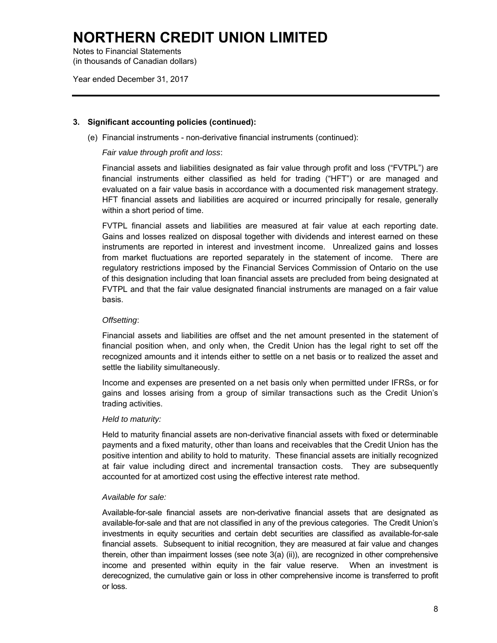Notes to Financial Statements (in thousands of Canadian dollars)

Year ended December 31, 2017

### **3. Significant accounting policies (continued):**

(e) Financial instruments - non-derivative financial instruments (continued):

#### *Fair value through profit and loss*:

 Financial assets and liabilities designated as fair value through profit and loss ("FVTPL") are financial instruments either classified as held for trading ("HFT") or are managed and evaluated on a fair value basis in accordance with a documented risk management strategy. HFT financial assets and liabilities are acquired or incurred principally for resale, generally within a short period of time.

 FVTPL financial assets and liabilities are measured at fair value at each reporting date. Gains and losses realized on disposal together with dividends and interest earned on these instruments are reported in interest and investment income. Unrealized gains and losses from market fluctuations are reported separately in the statement of income. There are regulatory restrictions imposed by the Financial Services Commission of Ontario on the use of this designation including that loan financial assets are precluded from being designated at FVTPL and that the fair value designated financial instruments are managed on a fair value basis.

### *Offsetting*:

Financial assets and liabilities are offset and the net amount presented in the statement of financial position when, and only when, the Credit Union has the legal right to set off the recognized amounts and it intends either to settle on a net basis or to realized the asset and settle the liability simultaneously.

Income and expenses are presented on a net basis only when permitted under IFRSs, or for gains and losses arising from a group of similar transactions such as the Credit Union's trading activities.

#### *Held to maturity:*

Held to maturity financial assets are non-derivative financial assets with fixed or determinable payments and a fixed maturity, other than loans and receivables that the Credit Union has the positive intention and ability to hold to maturity. These financial assets are initially recognized at fair value including direct and incremental transaction costs. They are subsequently accounted for at amortized cost using the effective interest rate method.

#### *Available for sale:*

 Available-for-sale financial assets are non-derivative financial assets that are designated as available-for-sale and that are not classified in any of the previous categories. The Credit Union's investments in equity securities and certain debt securities are classified as available-for-sale financial assets. Subsequent to initial recognition, they are measured at fair value and changes therein, other than impairment losses (see note 3(a) (ii)), are recognized in other comprehensive income and presented within equity in the fair value reserve. When an investment is derecognized, the cumulative gain or loss in other comprehensive income is transferred to profit or loss.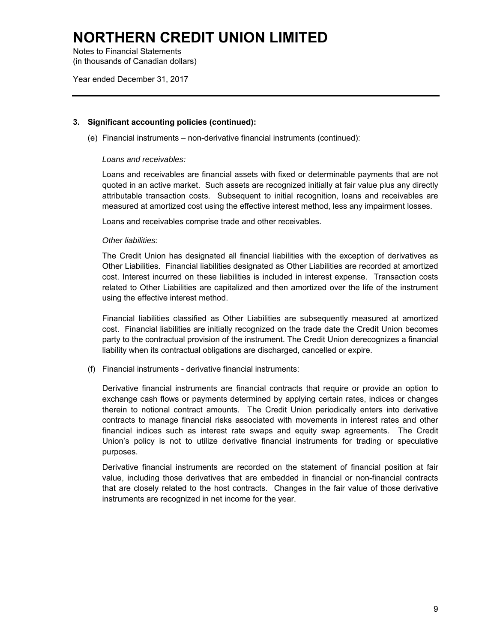Notes to Financial Statements (in thousands of Canadian dollars)

Year ended December 31, 2017

#### **3. Significant accounting policies (continued):**

(e) Financial instruments – non-derivative financial instruments (continued):

#### *Loans and receivables:*

Loans and receivables are financial assets with fixed or determinable payments that are not quoted in an active market. Such assets are recognized initially at fair value plus any directly attributable transaction costs. Subsequent to initial recognition, loans and receivables are measured at amortized cost using the effective interest method, less any impairment losses.

Loans and receivables comprise trade and other receivables.

#### *Other liabilities:*

 The Credit Union has designated all financial liabilities with the exception of derivatives as Other Liabilities. Financial liabilities designated as Other Liabilities are recorded at amortized cost. Interest incurred on these liabilities is included in interest expense. Transaction costs related to Other Liabilities are capitalized and then amortized over the life of the instrument using the effective interest method.

Financial liabilities classified as Other Liabilities are subsequently measured at amortized cost. Financial liabilities are initially recognized on the trade date the Credit Union becomes party to the contractual provision of the instrument. The Credit Union derecognizes a financial liability when its contractual obligations are discharged, cancelled or expire.

(f) Financial instruments - derivative financial instruments:

 Derivative financial instruments are financial contracts that require or provide an option to exchange cash flows or payments determined by applying certain rates, indices or changes therein to notional contract amounts. The Credit Union periodically enters into derivative contracts to manage financial risks associated with movements in interest rates and other financial indices such as interest rate swaps and equity swap agreements. The Credit Union's policy is not to utilize derivative financial instruments for trading or speculative purposes.

Derivative financial instruments are recorded on the statement of financial position at fair value, including those derivatives that are embedded in financial or non-financial contracts that are closely related to the host contracts. Changes in the fair value of those derivative instruments are recognized in net income for the year.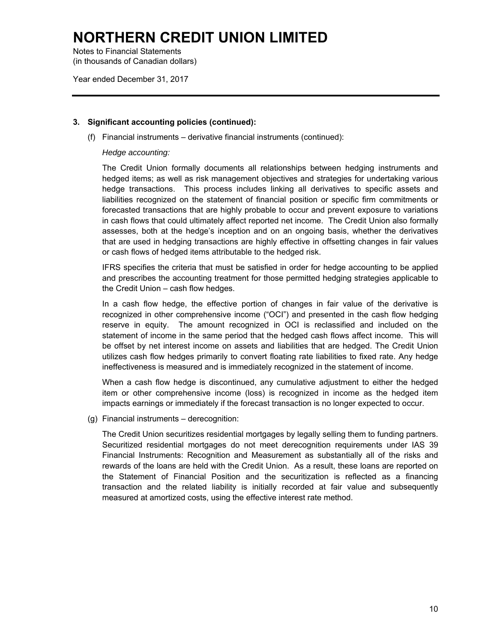Notes to Financial Statements (in thousands of Canadian dollars)

Year ended December 31, 2017

#### **3. Significant accounting policies (continued):**

(f) Financial instruments – derivative financial instruments (continued):

#### *Hedge accounting:*

The Credit Union formally documents all relationships between hedging instruments and hedged items; as well as risk management objectives and strategies for undertaking various hedge transactions. This process includes linking all derivatives to specific assets and liabilities recognized on the statement of financial position or specific firm commitments or forecasted transactions that are highly probable to occur and prevent exposure to variations in cash flows that could ultimately affect reported net income. The Credit Union also formally assesses, both at the hedge's inception and on an ongoing basis, whether the derivatives that are used in hedging transactions are highly effective in offsetting changes in fair values or cash flows of hedged items attributable to the hedged risk.

IFRS specifies the criteria that must be satisfied in order for hedge accounting to be applied and prescribes the accounting treatment for those permitted hedging strategies applicable to the Credit Union – cash flow hedges.

In a cash flow hedge, the effective portion of changes in fair value of the derivative is recognized in other comprehensive income ("OCI") and presented in the cash flow hedging reserve in equity. The amount recognized in OCI is reclassified and included on the statement of income in the same period that the hedged cash flows affect income. This will be offset by net interest income on assets and liabilities that are hedged. The Credit Union utilizes cash flow hedges primarily to convert floating rate liabilities to fixed rate. Any hedge ineffectiveness is measured and is immediately recognized in the statement of income.

When a cash flow hedge is discontinued, any cumulative adjustment to either the hedged item or other comprehensive income (loss) is recognized in income as the hedged item impacts earnings or immediately if the forecast transaction is no longer expected to occur.

(g) Financial instruments – derecognition:

The Credit Union securitizes residential mortgages by legally selling them to funding partners. Securitized residential mortgages do not meet derecognition requirements under IAS 39 Financial Instruments: Recognition and Measurement as substantially all of the risks and rewards of the loans are held with the Credit Union. As a result, these loans are reported on the Statement of Financial Position and the securitization is reflected as a financing transaction and the related liability is initially recorded at fair value and subsequently measured at amortized costs, using the effective interest rate method.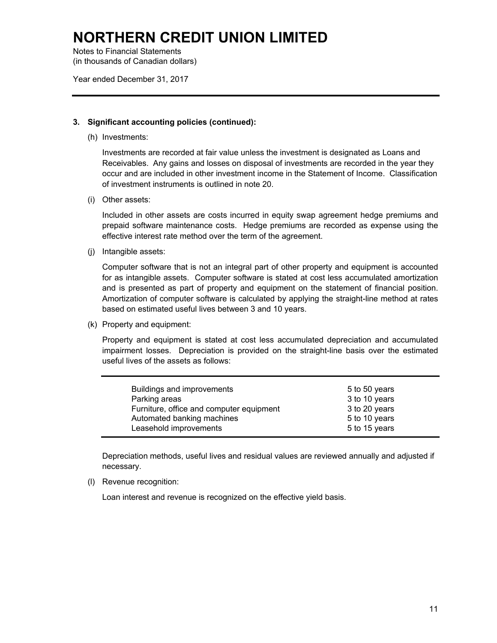Notes to Financial Statements (in thousands of Canadian dollars)

Year ended December 31, 2017

#### **3. Significant accounting policies (continued):**

(h) Investments:

 Investments are recorded at fair value unless the investment is designated as Loans and Receivables. Any gains and losses on disposal of investments are recorded in the year they occur and are included in other investment income in the Statement of Income. Classification of investment instruments is outlined in note 20.

(i) Other assets:

 Included in other assets are costs incurred in equity swap agreement hedge premiums and prepaid software maintenance costs. Hedge premiums are recorded as expense using the effective interest rate method over the term of the agreement.

(j) Intangible assets:

Computer software that is not an integral part of other property and equipment is accounted for as intangible assets. Computer software is stated at cost less accumulated amortization and is presented as part of property and equipment on the statement of financial position. Amortization of computer software is calculated by applying the straight-line method at rates based on estimated useful lives between 3 and 10 years.

(k) Property and equipment:

 Property and equipment is stated at cost less accumulated depreciation and accumulated impairment losses. Depreciation is provided on the straight-line basis over the estimated useful lives of the assets as follows:

| Buildings and improvements                                                              | 5 to 50 years                                   |
|-----------------------------------------------------------------------------------------|-------------------------------------------------|
| Parking areas<br>Furniture, office and computer equipment<br>Automated banking machines | 3 to 10 years<br>3 to 20 years<br>5 to 10 years |
| Leasehold improvements                                                                  | 5 to 15 years                                   |

Depreciation methods, useful lives and residual values are reviewed annually and adjusted if necessary.

(l) Revenue recognition:

Loan interest and revenue is recognized on the effective yield basis.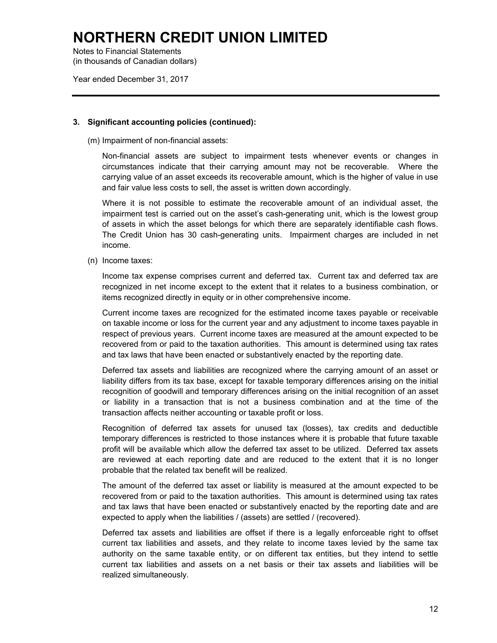Notes to Financial Statements (in thousands of Canadian dollars)

Year ended December 31, 2017

#### **3. Significant accounting policies (continued):**

(m) Impairment of non-financial assets:

Non-financial assets are subject to impairment tests whenever events or changes in circumstances indicate that their carrying amount may not be recoverable. Where the carrying value of an asset exceeds its recoverable amount, which is the higher of value in use and fair value less costs to sell, the asset is written down accordingly.

Where it is not possible to estimate the recoverable amount of an individual asset, the impairment test is carried out on the asset's cash-generating unit, which is the lowest group of assets in which the asset belongs for which there are separately identifiable cash flows. The Credit Union has 30 cash-generating units. Impairment charges are included in net income.

(n) Income taxes:

 Income tax expense comprises current and deferred tax. Current tax and deferred tax are recognized in net income except to the extent that it relates to a business combination, or items recognized directly in equity or in other comprehensive income.

 Current income taxes are recognized for the estimated income taxes payable or receivable on taxable income or loss for the current year and any adjustment to income taxes payable in respect of previous years. Current income taxes are measured at the amount expected to be recovered from or paid to the taxation authorities. This amount is determined using tax rates and tax laws that have been enacted or substantively enacted by the reporting date.

 Deferred tax assets and liabilities are recognized where the carrying amount of an asset or liability differs from its tax base, except for taxable temporary differences arising on the initial recognition of goodwill and temporary differences arising on the initial recognition of an asset or liability in a transaction that is not a business combination and at the time of the transaction affects neither accounting or taxable profit or loss.

 Recognition of deferred tax assets for unused tax (losses), tax credits and deductible temporary differences is restricted to those instances where it is probable that future taxable profit will be available which allow the deferred tax asset to be utilized. Deferred tax assets are reviewed at each reporting date and are reduced to the extent that it is no longer probable that the related tax benefit will be realized.

 The amount of the deferred tax asset or liability is measured at the amount expected to be recovered from or paid to the taxation authorities. This amount is determined using tax rates and tax laws that have been enacted or substantively enacted by the reporting date and are expected to apply when the liabilities / (assets) are settled / (recovered).

Deferred tax assets and liabilities are offset if there is a legally enforceable right to offset current tax liabilities and assets, and they relate to income taxes levied by the same tax authority on the same taxable entity, or on different tax entities, but they intend to settle current tax liabilities and assets on a net basis or their tax assets and liabilities will be realized simultaneously.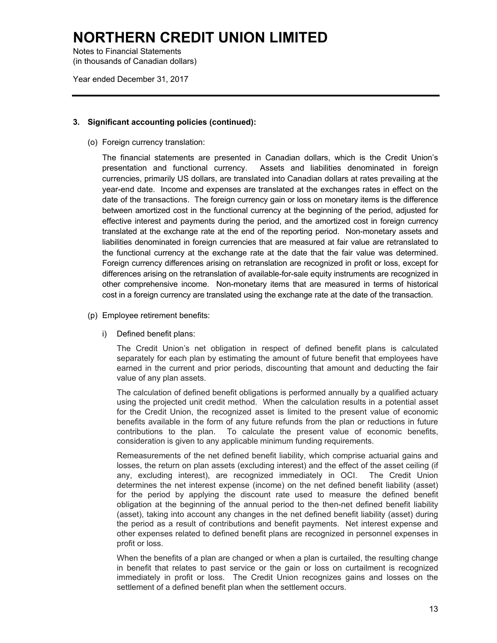Notes to Financial Statements (in thousands of Canadian dollars)

Year ended December 31, 2017

### **3. Significant accounting policies (continued):**

(o) Foreign currency translation:

 The financial statements are presented in Canadian dollars, which is the Credit Union's presentation and functional currency. Assets and liabilities denominated in foreign currencies, primarily US dollars, are translated into Canadian dollars at rates prevailing at the year-end date. Income and expenses are translated at the exchanges rates in effect on the date of the transactions. The foreign currency gain or loss on monetary items is the difference between amortized cost in the functional currency at the beginning of the period, adjusted for effective interest and payments during the period, and the amortized cost in foreign currency translated at the exchange rate at the end of the reporting period. Non-monetary assets and liabilities denominated in foreign currencies that are measured at fair value are retranslated to the functional currency at the exchange rate at the date that the fair value was determined. Foreign currency differences arising on retranslation are recognized in profit or loss, except for differences arising on the retranslation of available-for-sale equity instruments are recognized in other comprehensive income. Non-monetary items that are measured in terms of historical cost in a foreign currency are translated using the exchange rate at the date of the transaction.

- (p) Employee retirement benefits:
	- i) Defined benefit plans:

The Credit Union's net obligation in respect of defined benefit plans is calculated separately for each plan by estimating the amount of future benefit that employees have earned in the current and prior periods, discounting that amount and deducting the fair value of any plan assets.

The calculation of defined benefit obligations is performed annually by a qualified actuary using the projected unit credit method. When the calculation results in a potential asset for the Credit Union, the recognized asset is limited to the present value of economic benefits available in the form of any future refunds from the plan or reductions in future contributions to the plan. To calculate the present value of economic benefits, consideration is given to any applicable minimum funding requirements.

Remeasurements of the net defined benefit liability, which comprise actuarial gains and losses, the return on plan assets (excluding interest) and the effect of the asset ceiling (if any, excluding interest), are recognized immediately in OCI. The Credit Union determines the net interest expense (income) on the net defined benefit liability (asset) for the period by applying the discount rate used to measure the defined benefit obligation at the beginning of the annual period to the then-net defined benefit liability (asset), taking into account any changes in the net defined benefit liability (asset) during the period as a result of contributions and benefit payments. Net interest expense and other expenses related to defined benefit plans are recognized in personnel expenses in profit or loss.

When the benefits of a plan are changed or when a plan is curtailed, the resulting change in benefit that relates to past service or the gain or loss on curtailment is recognized immediately in profit or loss. The Credit Union recognizes gains and losses on the settlement of a defined benefit plan when the settlement occurs.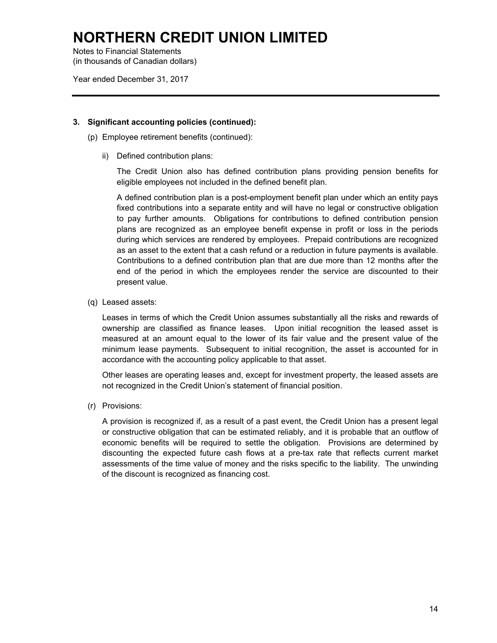Notes to Financial Statements (in thousands of Canadian dollars)

Year ended December 31, 2017

### **3. Significant accounting policies (continued):**

- (p) Employee retirement benefits (continued):
	- ii) Defined contribution plans:

The Credit Union also has defined contribution plans providing pension benefits for eligible employees not included in the defined benefit plan.

A defined contribution plan is a post-employment benefit plan under which an entity pays fixed contributions into a separate entity and will have no legal or constructive obligation to pay further amounts. Obligations for contributions to defined contribution pension plans are recognized as an employee benefit expense in profit or loss in the periods during which services are rendered by employees. Prepaid contributions are recognized as an asset to the extent that a cash refund or a reduction in future payments is available. Contributions to a defined contribution plan that are due more than 12 months after the end of the period in which the employees render the service are discounted to their present value.

(q) Leased assets:

 Leases in terms of which the Credit Union assumes substantially all the risks and rewards of ownership are classified as finance leases. Upon initial recognition the leased asset is measured at an amount equal to the lower of its fair value and the present value of the minimum lease payments. Subsequent to initial recognition, the asset is accounted for in accordance with the accounting policy applicable to that asset.

 Other leases are operating leases and, except for investment property, the leased assets are not recognized in the Credit Union's statement of financial position.

(r) Provisions:

A provision is recognized if, as a result of a past event, the Credit Union has a present legal or constructive obligation that can be estimated reliably, and it is probable that an outflow of economic benefits will be required to settle the obligation. Provisions are determined by discounting the expected future cash flows at a pre-tax rate that reflects current market assessments of the time value of money and the risks specific to the liability. The unwinding of the discount is recognized as financing cost.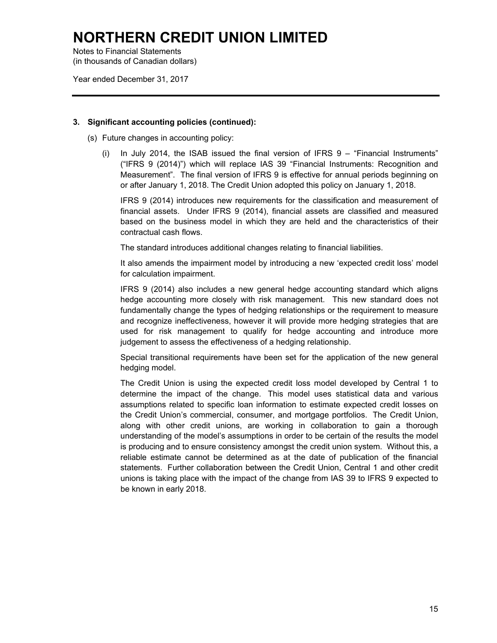Notes to Financial Statements (in thousands of Canadian dollars)

Year ended December 31, 2017

#### **3. Significant accounting policies (continued):**

- (s) Future changes in accounting policy:
	- (i) In July 2014, the ISAB issued the final version of IFRS 9 "Financial Instruments" ("IFRS 9 (2014)") which will replace IAS 39 "Financial Instruments: Recognition and Measurement". The final version of IFRS 9 is effective for annual periods beginning on or after January 1, 2018. The Credit Union adopted this policy on January 1, 2018.

IFRS 9 (2014) introduces new requirements for the classification and measurement of financial assets. Under IFRS 9 (2014), financial assets are classified and measured based on the business model in which they are held and the characteristics of their contractual cash flows.

The standard introduces additional changes relating to financial liabilities.

It also amends the impairment model by introducing a new 'expected credit loss' model for calculation impairment.

IFRS 9 (2014) also includes a new general hedge accounting standard which aligns hedge accounting more closely with risk management. This new standard does not fundamentally change the types of hedging relationships or the requirement to measure and recognize ineffectiveness, however it will provide more hedging strategies that are used for risk management to qualify for hedge accounting and introduce more judgement to assess the effectiveness of a hedging relationship.

Special transitional requirements have been set for the application of the new general hedging model.

The Credit Union is using the expected credit loss model developed by Central 1 to determine the impact of the change. This model uses statistical data and various assumptions related to specific loan information to estimate expected credit losses on the Credit Union's commercial, consumer, and mortgage portfolios. The Credit Union, along with other credit unions, are working in collaboration to gain a thorough understanding of the model's assumptions in order to be certain of the results the model is producing and to ensure consistency amongst the credit union system. Without this, a reliable estimate cannot be determined as at the date of publication of the financial statements. Further collaboration between the Credit Union, Central 1 and other credit unions is taking place with the impact of the change from IAS 39 to IFRS 9 expected to be known in early 2018.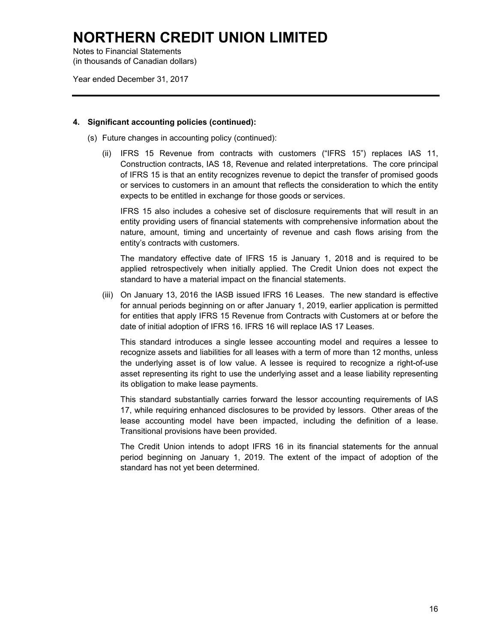Notes to Financial Statements (in thousands of Canadian dollars)

Year ended December 31, 2017

#### **4. Significant accounting policies (continued):**

- (s) Future changes in accounting policy (continued):
	- (ii) IFRS 15 Revenue from contracts with customers ("IFRS 15") replaces IAS 11, Construction contracts, IAS 18, Revenue and related interpretations. The core principal of IFRS 15 is that an entity recognizes revenue to depict the transfer of promised goods or services to customers in an amount that reflects the consideration to which the entity expects to be entitled in exchange for those goods or services.

IFRS 15 also includes a cohesive set of disclosure requirements that will result in an entity providing users of financial statements with comprehensive information about the nature, amount, timing and uncertainty of revenue and cash flows arising from the entity's contracts with customers.

The mandatory effective date of IFRS 15 is January 1, 2018 and is required to be applied retrospectively when initially applied. The Credit Union does not expect the standard to have a material impact on the financial statements.

(iii) On January 13, 2016 the IASB issued IFRS 16 Leases. The new standard is effective for annual periods beginning on or after January 1, 2019, earlier application is permitted for entities that apply IFRS 15 Revenue from Contracts with Customers at or before the date of initial adoption of IFRS 16. IFRS 16 will replace IAS 17 Leases.

This standard introduces a single lessee accounting model and requires a lessee to recognize assets and liabilities for all leases with a term of more than 12 months, unless the underlying asset is of low value. A lessee is required to recognize a right-of-use asset representing its right to use the underlying asset and a lease liability representing its obligation to make lease payments.

This standard substantially carries forward the lessor accounting requirements of IAS 17, while requiring enhanced disclosures to be provided by lessors. Other areas of the lease accounting model have been impacted, including the definition of a lease. Transitional provisions have been provided.

The Credit Union intends to adopt IFRS 16 in its financial statements for the annual period beginning on January 1, 2019. The extent of the impact of adoption of the standard has not yet been determined.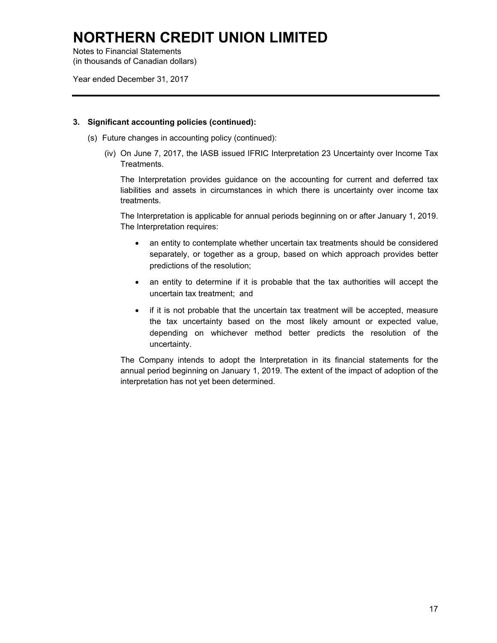Notes to Financial Statements (in thousands of Canadian dollars)

Year ended December 31, 2017

### **3. Significant accounting policies (continued):**

- (s) Future changes in accounting policy (continued):
	- (iv) On June 7, 2017, the IASB issued IFRIC Interpretation 23 Uncertainty over Income Tax Treatments.

The Interpretation provides guidance on the accounting for current and deferred tax liabilities and assets in circumstances in which there is uncertainty over income tax treatments.

The Interpretation is applicable for annual periods beginning on or after January 1, 2019. The Interpretation requires:

- an entity to contemplate whether uncertain tax treatments should be considered separately, or together as a group, based on which approach provides better predictions of the resolution;
- an entity to determine if it is probable that the tax authorities will accept the uncertain tax treatment; and
- if it is not probable that the uncertain tax treatment will be accepted, measure the tax uncertainty based on the most likely amount or expected value, depending on whichever method better predicts the resolution of the uncertainty.

The Company intends to adopt the Interpretation in its financial statements for the annual period beginning on January 1, 2019. The extent of the impact of adoption of the interpretation has not yet been determined.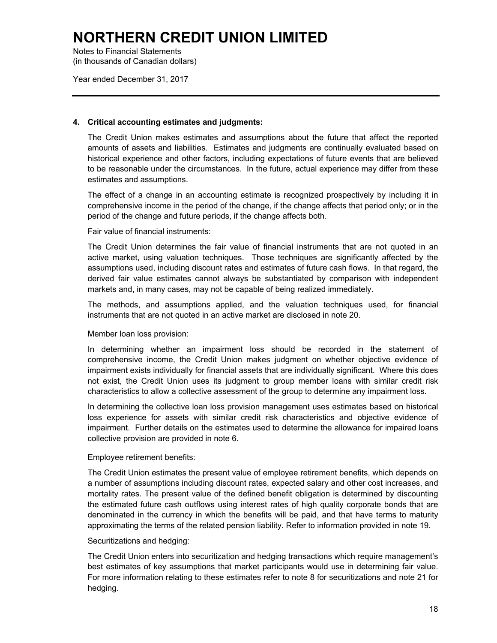Notes to Financial Statements (in thousands of Canadian dollars)

Year ended December 31, 2017

#### **4. Critical accounting estimates and judgments:**

The Credit Union makes estimates and assumptions about the future that affect the reported amounts of assets and liabilities. Estimates and judgments are continually evaluated based on historical experience and other factors, including expectations of future events that are believed to be reasonable under the circumstances. In the future, actual experience may differ from these estimates and assumptions.

The effect of a change in an accounting estimate is recognized prospectively by including it in comprehensive income in the period of the change, if the change affects that period only; or in the period of the change and future periods, if the change affects both.

Fair value of financial instruments:

The Credit Union determines the fair value of financial instruments that are not quoted in an active market, using valuation techniques. Those techniques are significantly affected by the assumptions used, including discount rates and estimates of future cash flows. In that regard, the derived fair value estimates cannot always be substantiated by comparison with independent markets and, in many cases, may not be capable of being realized immediately.

The methods, and assumptions applied, and the valuation techniques used, for financial instruments that are not quoted in an active market are disclosed in note 20.

### Member loan loss provision:

In determining whether an impairment loss should be recorded in the statement of comprehensive income, the Credit Union makes judgment on whether objective evidence of impairment exists individually for financial assets that are individually significant. Where this does not exist, the Credit Union uses its judgment to group member loans with similar credit risk characteristics to allow a collective assessment of the group to determine any impairment loss.

In determining the collective loan loss provision management uses estimates based on historical loss experience for assets with similar credit risk characteristics and objective evidence of impairment. Further details on the estimates used to determine the allowance for impaired loans collective provision are provided in note 6.

### Employee retirement benefits:

The Credit Union estimates the present value of employee retirement benefits, which depends on a number of assumptions including discount rates, expected salary and other cost increases, and mortality rates. The present value of the defined benefit obligation is determined by discounting the estimated future cash outflows using interest rates of high quality corporate bonds that are denominated in the currency in which the benefits will be paid, and that have terms to maturity approximating the terms of the related pension liability. Refer to information provided in note 19.

### Securitizations and hedging:

The Credit Union enters into securitization and hedging transactions which require management's best estimates of key assumptions that market participants would use in determining fair value. For more information relating to these estimates refer to note 8 for securitizations and note 21 for hedging.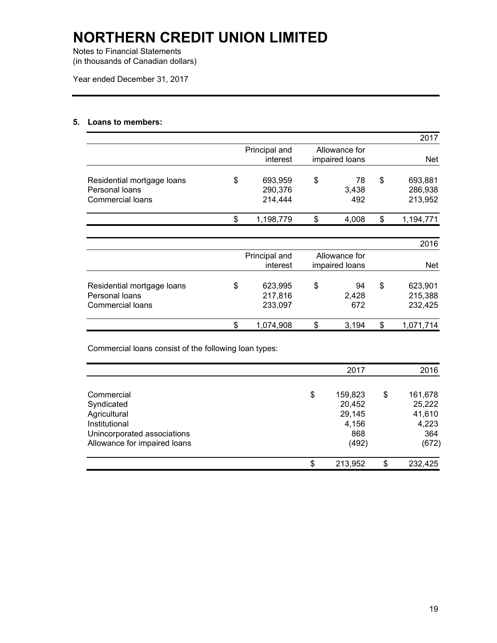Notes to Financial Statements (in thousands of Canadian dollars)

Year ended December 31, 2017

### **5. Loans to members:**

|                                                                         |                                                                       |                               |                                 |    | 2017                          |
|-------------------------------------------------------------------------|-----------------------------------------------------------------------|-------------------------------|---------------------------------|----|-------------------------------|
|                                                                         |                                                                       | Principal and<br>interest     | Allowance for<br>impaired loans |    | Net                           |
| Residential mortgage loans<br>Personal loans<br><b>Commercial loans</b> | \$<br>\$<br>\$<br>693,959<br>78<br>290,376<br>3,438<br>214,444<br>492 | 693,881<br>286,938<br>213,952 |                                 |    |                               |
|                                                                         | \$                                                                    | 1,198,779                     | \$<br>4,008                     | \$ | 1,194,771                     |
|                                                                         |                                                                       |                               |                                 |    | 2016                          |
|                                                                         |                                                                       | Principal and<br>interest     | Allowance for<br>impaired loans |    | Net                           |
| Residential mortgage loans<br>Personal loans<br>Commercial loans        | \$                                                                    | 623,995<br>217,816<br>233,097 | \$<br>94<br>2,428<br>672        | \$ | 623,901<br>215,388<br>232,425 |
|                                                                         | \$                                                                    | 1,074,908                     | \$<br>3,194                     | \$ | 1,071,714                     |

Commercial loans consist of the following loan types:

|                              | 2017          | 2016          |
|------------------------------|---------------|---------------|
| Commercial                   | \$<br>159,823 | \$<br>161,678 |
| Syndicated                   | 20,452        | 25,222        |
| Agricultural                 | 29,145        | 41,610        |
| Institutional                | 4,156         | 4,223         |
| Unincorporated associations  | 868           | 364           |
| Allowance for impaired loans | (492)         | (672)         |
|                              | \$<br>213,952 | \$<br>232,425 |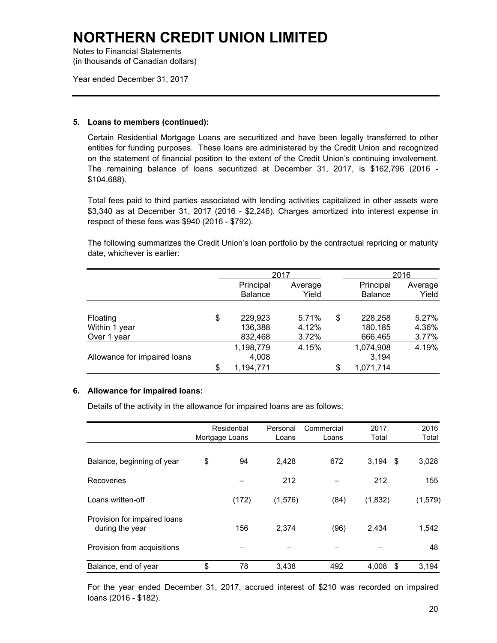Notes to Financial Statements (in thousands of Canadian dollars)

Year ended December 31, 2017

#### **5. Loans to members (continued):**

Certain Residential Mortgage Loans are securitized and have been legally transferred to other entities for funding purposes. These loans are administered by the Credit Union and recognized on the statement of financial position to the extent of the Credit Union's continuing involvement. The remaining balance of loans securitized at December 31, 2017, is \$162,796 (2016 - \$104,688).

Total fees paid to third parties associated with lending activities capitalized in other assets were \$3,340 as at December 31, 2017 (2016 - \$2,246). Charges amortized into interest expense in respect of these fees was \$940 (2016 - \$792).

The following summarizes the Credit Union's loan portfolio by the contractual repricing or maturity date, whichever is earlier:

|                              | 2017                 |                  |    |                             | 2016             |
|------------------------------|----------------------|------------------|----|-----------------------------|------------------|
|                              | Principal<br>Balance | Average<br>Yield |    | Principal<br><b>Balance</b> | Average<br>Yield |
|                              |                      |                  |    |                             |                  |
| Floating                     | \$<br>229,923        | 5.71%            | \$ | 228,258                     | 5.27%            |
| Within 1 year                | 136,388              | 4.12%            |    | 180,185                     | 4.36%            |
| Over 1 year                  | 832,468              | 3.72%            |    | 666,465                     | 3.77%            |
|                              | 1,198,779            | 4.15%            |    | 1,074,908                   | 4.19%            |
| Allowance for impaired loans | 4,008                |                  |    | 3,194                       |                  |
|                              | \$<br>1,194,771      |                  | \$ | 1,071,714                   |                  |

### **6. Allowance for impaired loans:**

Details of the activity in the allowance for impaired loans are as follows:

|                                                 | Residential    | Personal | Commercial | 2017          | 2016     |
|-------------------------------------------------|----------------|----------|------------|---------------|----------|
|                                                 | Mortgage Loans | Loans    | Loans      | Total         | Total    |
|                                                 |                |          |            |               |          |
| Balance, beginning of year                      | \$<br>94       | 2,428    | 672        | 3,194<br>- \$ | 3,028    |
| Recoveries                                      |                | 212      |            | 212           | 155      |
| Loans written-off                               | (172)          | (1,576)  | (84)       | (1,832)       | (1, 579) |
| Provision for impaired loans<br>during the year | 156            | 2,374    | (96)       | 2,434         | 1,542    |
| Provision from acquisitions                     |                |          |            |               | 48       |
| Balance, end of year                            | \$<br>78       | 3,438    | 492        | 4.008<br>\$   | 3.194    |

For the year ended December 31, 2017, accrued interest of \$210 was recorded on impaired loans (2016 - \$182).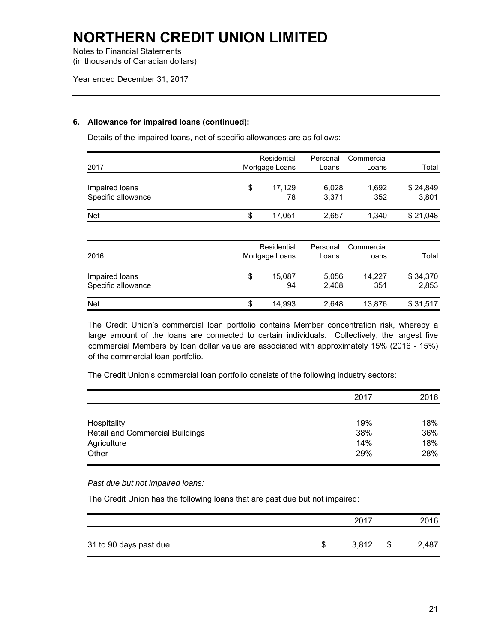Notes to Financial Statements (in thousands of Canadian dollars)

Year ended December 31, 2017

#### **6. Allowance for impaired loans (continued):**

Details of the impaired loans, net of specific allowances are as follows:

| 2017                                 | Residential<br>Mortgage Loans | Personal<br>Loans | Commercial<br>Loans | Total             |
|--------------------------------------|-------------------------------|-------------------|---------------------|-------------------|
| Impaired loans<br>Specific allowance | \$<br>17,129<br>78            | 6,028<br>3,371    | 1,692<br>352        | \$24,849<br>3,801 |
| Net                                  | \$<br>17,051                  | 2,657             | 1,340               | \$21,048          |
| 2016                                 | Residential<br>Mortgage Loans | Personal<br>Loans | Commercial<br>Loans | Total             |
| Impaired loans<br>Specific allowance | \$<br>15,087<br>94            | 5,056<br>2,408    | 14,227<br>351       | \$34,370<br>2,853 |
| <b>Net</b>                           | \$<br>14,993                  | 2,648             | 13,876              | \$31,517          |

The Credit Union's commercial loan portfolio contains Member concentration risk, whereby a large amount of the loans are connected to certain individuals. Collectively, the largest five commercial Members by loan dollar value are associated with approximately 15% (2016 - 15%) of the commercial loan portfolio.

The Credit Union's commercial loan portfolio consists of the following industry sectors:

|                                 | 2017 | 2016 |
|---------------------------------|------|------|
|                                 |      |      |
| Hospitality                     | 19%  | 18%  |
| Retail and Commercial Buildings | 38%  | 36%  |
| Agriculture                     | 14%  | 18%  |
| Other                           | 29%  | 28%  |

#### *Past due but not impaired loans:*

The Credit Union has the following loans that are past due but not impaired:

|                        |   | 2017  | 2016 |       |
|------------------------|---|-------|------|-------|
| 31 to 90 days past due | S | 3,812 | \$   | 2,487 |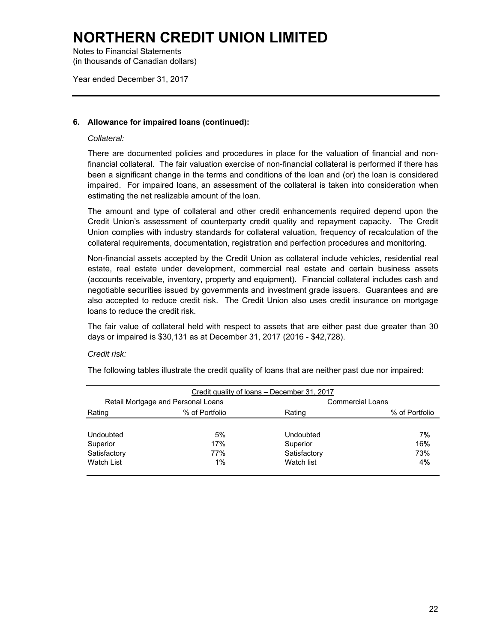Notes to Financial Statements (in thousands of Canadian dollars)

Year ended December 31, 2017

### **6. Allowance for impaired loans (continued):**

#### *Collateral:*

There are documented policies and procedures in place for the valuation of financial and nonfinancial collateral. The fair valuation exercise of non-financial collateral is performed if there has been a significant change in the terms and conditions of the loan and (or) the loan is considered impaired. For impaired loans, an assessment of the collateral is taken into consideration when estimating the net realizable amount of the loan.

The amount and type of collateral and other credit enhancements required depend upon the Credit Union's assessment of counterparty credit quality and repayment capacity. The Credit Union complies with industry standards for collateral valuation, frequency of recalculation of the collateral requirements, documentation, registration and perfection procedures and monitoring.

Non-financial assets accepted by the Credit Union as collateral include vehicles, residential real estate, real estate under development, commercial real estate and certain business assets (accounts receivable, inventory, property and equipment). Financial collateral includes cash and negotiable securities issued by governments and investment grade issuers. Guarantees and are also accepted to reduce credit risk. The Credit Union also uses credit insurance on mortgage loans to reduce the credit risk.

The fair value of collateral held with respect to assets that are either past due greater than 30 days or impaired is \$30,131 as at December 31, 2017 (2016 - \$42,728).

### *Credit risk:*

The following tables illustrate the credit quality of loans that are neither past due nor impaired:

| Credit quality of loans - December 31, 2017 |                                    |              |                         |  |
|---------------------------------------------|------------------------------------|--------------|-------------------------|--|
|                                             | Retail Mortgage and Personal Loans |              | <b>Commercial Loans</b> |  |
| Rating                                      | % of Portfolio                     | Rating       | % of Portfolio          |  |
|                                             |                                    |              |                         |  |
| Undoubted                                   | 5%                                 | Undoubted    | 7%                      |  |
| Superior                                    | 17%                                | Superior     | 16%                     |  |
| Satisfactory                                | 77%                                | Satisfactory | 73%                     |  |
| <b>Watch List</b>                           | $1\%$                              | Watch list   | 4%                      |  |
|                                             |                                    |              |                         |  |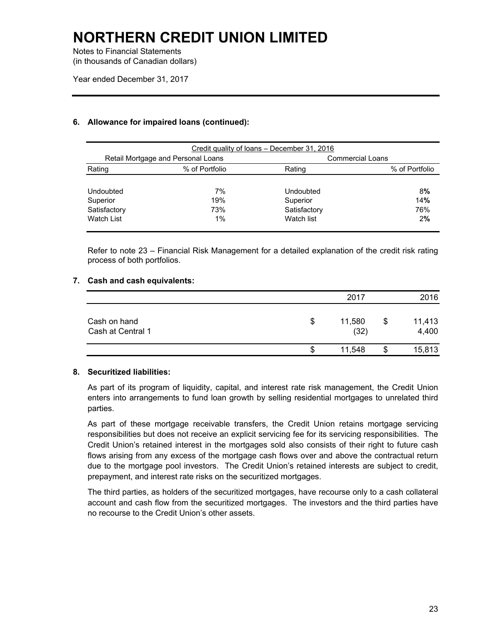Notes to Financial Statements (in thousands of Canadian dollars)

Year ended December 31, 2017

### **6. Allowance for impaired loans (continued):**

| Credit quality of loans - December 31, 2016 |                                    |              |                         |  |  |
|---------------------------------------------|------------------------------------|--------------|-------------------------|--|--|
|                                             | Retail Mortgage and Personal Loans |              | <b>Commercial Loans</b> |  |  |
| Rating                                      | % of Portfolio                     | Rating       | % of Portfolio          |  |  |
|                                             |                                    |              |                         |  |  |
| Undoubted                                   | 7%                                 | Undoubted    | 8%                      |  |  |
| Superior                                    | 19%                                | Superior     | 14%                     |  |  |
| Satisfactory                                | 73%                                | Satisfactory | 76%                     |  |  |
| Watch List                                  | $1\%$                              | Watch list   | 2%                      |  |  |
|                                             |                                    |              |                         |  |  |

Refer to note 23 – Financial Risk Management for a detailed explanation of the credit risk rating process of both portfolios.

### **7. Cash and cash equivalents:**

|                                   |   | 2017           |    | 2016            |
|-----------------------------------|---|----------------|----|-----------------|
| Cash on hand<br>Cash at Central 1 | S | 11,580<br>(32) | \$ | 11,413<br>4,400 |
|                                   | S | 11.548         | S  | 15,813          |

### **8. Securitized liabilities:**

 As part of its program of liquidity, capital, and interest rate risk management, the Credit Union enters into arrangements to fund loan growth by selling residential mortgages to unrelated third parties.

 As part of these mortgage receivable transfers, the Credit Union retains mortgage servicing responsibilities but does not receive an explicit servicing fee for its servicing responsibilities. The Credit Union's retained interest in the mortgages sold also consists of their right to future cash flows arising from any excess of the mortgage cash flows over and above the contractual return due to the mortgage pool investors. The Credit Union's retained interests are subject to credit, prepayment, and interest rate risks on the securitized mortgages.

 The third parties, as holders of the securitized mortgages, have recourse only to a cash collateral account and cash flow from the securitized mortgages. The investors and the third parties have no recourse to the Credit Union's other assets.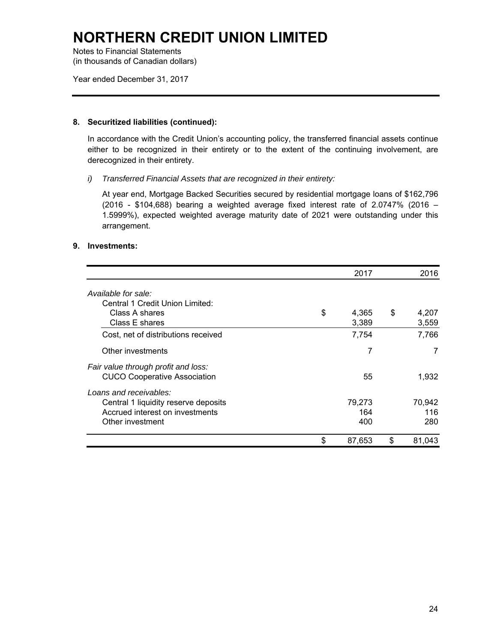Notes to Financial Statements (in thousands of Canadian dollars)

Year ended December 31, 2017

#### **8. Securitized liabilities (continued):**

In accordance with the Credit Union's accounting policy, the transferred financial assets continue either to be recognized in their entirety or to the extent of the continuing involvement, are derecognized in their entirety.

#### *i) Transferred Financial Assets that are recognized in their entirety:*

At year end, Mortgage Backed Securities secured by residential mortgage loans of \$162,796 (2016 - \$104,688) bearing a weighted average fixed interest rate of 2.0747% (2016 – 1.5999%), expected weighted average maturity date of 2021 were outstanding under this arrangement.

#### **9. Investments:**

|                                                                            | 2017         | 2016         |
|----------------------------------------------------------------------------|--------------|--------------|
| Available for sale:                                                        |              |              |
| Central 1 Credit Union Limited:                                            |              |              |
| Class A shares                                                             | \$<br>4,365  | \$<br>4,207  |
| Class E shares                                                             | 3,389        | 3,559        |
| Cost, net of distributions received                                        | 7,754        | 7,766        |
| Other investments                                                          |              | 7            |
| Fair value through profit and loss:<br><b>CUCO Cooperative Association</b> | 55           | 1,932        |
| Loans and receivables:                                                     |              |              |
| Central 1 liquidity reserve deposits                                       | 79,273       | 70,942       |
| Accrued interest on investments                                            | 164          | 116          |
| Other investment                                                           | 400          | 280          |
|                                                                            | \$<br>87,653 | \$<br>81,043 |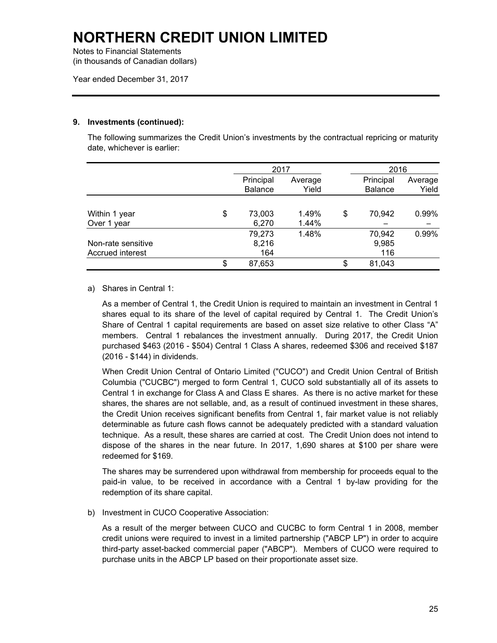Notes to Financial Statements (in thousands of Canadian dollars)

Year ended December 31, 2017

### **9. Investments (continued):**

The following summarizes the Credit Union's investments by the contractual repricing or maturity date, whichever is earlier:

|                    | 2017           |         | 2016           |         |
|--------------------|----------------|---------|----------------|---------|
|                    | Principal      | Average | Principal      | Average |
|                    | <b>Balance</b> | Yield   | <b>Balance</b> | Yield   |
| Within 1 year      | \$<br>73,003   | 1.49%   | \$<br>70,942   | 0.99%   |
| Over 1 year        | 6,270          | 1.44%   |                |         |
|                    | 79,273         | 1.48%   | 70,942         | 0.99%   |
| Non-rate sensitive | 8,216          |         | 9,985          |         |
| Accrued interest   | 164            |         | 116            |         |
|                    | \$<br>87,653   |         | \$<br>81,043   |         |

### a) Shares in Central 1:

As a member of Central 1, the Credit Union is required to maintain an investment in Central 1 shares equal to its share of the level of capital required by Central 1. The Credit Union's Share of Central 1 capital requirements are based on asset size relative to other Class "A" members. Central 1 rebalances the investment annually. During 2017, the Credit Union purchased \$463 (2016 - \$504) Central 1 Class A shares, redeemed \$306 and received \$187 (2016 - \$144) in dividends.

When Credit Union Central of Ontario Limited ("CUCO") and Credit Union Central of British Columbia ("CUCBC") merged to form Central 1, CUCO sold substantially all of its assets to Central 1 in exchange for Class A and Class E shares. As there is no active market for these shares, the shares are not sellable, and, as a result of continued investment in these shares, the Credit Union receives significant benefits from Central 1, fair market value is not reliably determinable as future cash flows cannot be adequately predicted with a standard valuation technique. As a result, these shares are carried at cost. The Credit Union does not intend to dispose of the shares in the near future. In 2017, 1,690 shares at \$100 per share were redeemed for \$169.

The shares may be surrendered upon withdrawal from membership for proceeds equal to the paid-in value, to be received in accordance with a Central 1 by-law providing for the redemption of its share capital.

b) Investment in CUCO Cooperative Association:

 As a result of the merger between CUCO and CUCBC to form Central 1 in 2008, member credit unions were required to invest in a limited partnership ("ABCP LP") in order to acquire third-party asset-backed commercial paper ("ABCP"). Members of CUCO were required to purchase units in the ABCP LP based on their proportionate asset size.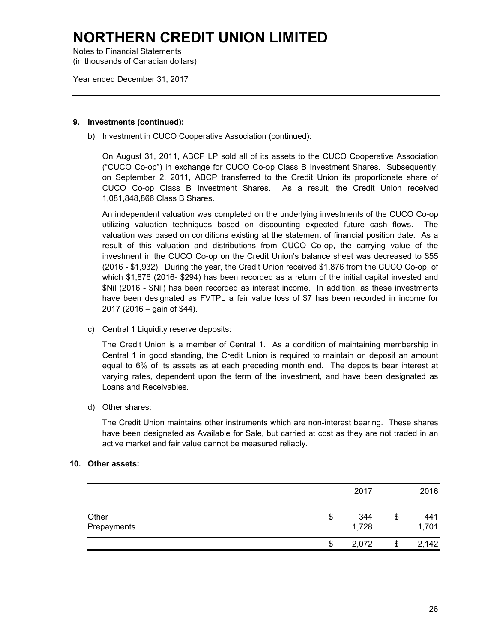Notes to Financial Statements (in thousands of Canadian dollars)

Year ended December 31, 2017

#### **9. Investments (continued):**

b) Investment in CUCO Cooperative Association (continued):

On August 31, 2011, ABCP LP sold all of its assets to the CUCO Cooperative Association ("CUCO Co-op") in exchange for CUCO Co-op Class B Investment Shares. Subsequently, on September 2, 2011, ABCP transferred to the Credit Union its proportionate share of CUCO Co-op Class B Investment Shares. As a result, the Credit Union received 1,081,848,866 Class B Shares.

An independent valuation was completed on the underlying investments of the CUCO Co-op utilizing valuation techniques based on discounting expected future cash flows. The valuation was based on conditions existing at the statement of financial position date. As a result of this valuation and distributions from CUCO Co-op, the carrying value of the investment in the CUCO Co-op on the Credit Union's balance sheet was decreased to \$55 (2016 - \$1,932). During the year, the Credit Union received \$1,876 from the CUCO Co-op, of which \$1,876 (2016- \$294) has been recorded as a return of the initial capital invested and \$Nil (2016 - \$Nil) has been recorded as interest income. In addition, as these investments have been designated as FVTPL a fair value loss of \$7 has been recorded in income for 2017 (2016 – gain of \$44).

c) Central 1 Liquidity reserve deposits:

The Credit Union is a member of Central 1. As a condition of maintaining membership in Central 1 in good standing, the Credit Union is required to maintain on deposit an amount equal to 6% of its assets as at each preceding month end. The deposits bear interest at varying rates, dependent upon the term of the investment, and have been designated as Loans and Receivables.

d) Other shares:

The Credit Union maintains other instruments which are non-interest bearing. These shares have been designated as Available for Sale, but carried at cost as they are not traded in an active market and fair value cannot be measured reliably.

### **10. Other assets:**

|                      | 2017               | 2016               |
|----------------------|--------------------|--------------------|
| Other<br>Prepayments | \$<br>344<br>1,728 | \$<br>441<br>1,701 |
|                      | \$<br>2,072        | \$<br>2,142        |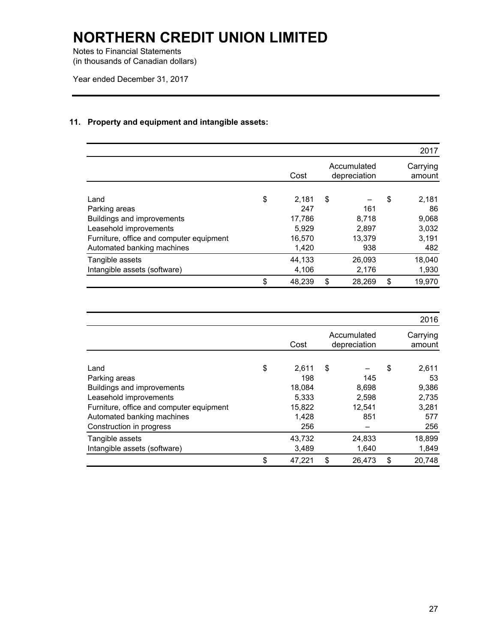Notes to Financial Statements (in thousands of Canadian dollars)

Year ended December 31, 2017

### **11. Property and equipment and intangible assets:**

|                                          |              |                             |        | 2017               |
|------------------------------------------|--------------|-----------------------------|--------|--------------------|
|                                          | Cost         | Accumulated<br>depreciation |        | Carrying<br>amount |
| Land                                     | \$<br>2.181  | \$                          |        | \$<br>2,181        |
| Parking areas                            | 247          |                             | 161    | 86                 |
| Buildings and improvements               | 17,786       |                             | 8,718  | 9,068              |
| Leasehold improvements                   | 5.929        |                             | 2.897  | 3,032              |
| Furniture, office and computer equipment | 16,570       |                             | 13,379 | 3,191              |
| Automated banking machines               | 1,420        |                             | 938    | 482                |
| Tangible assets                          | 44,133       |                             | 26,093 | 18,040             |
| Intangible assets (software)             | 4,106        |                             | 2,176  | 1,930              |
|                                          | \$<br>48.239 | \$                          | 28,269 | \$<br>19,970       |

|                                          |              |                             |        | 2016               |
|------------------------------------------|--------------|-----------------------------|--------|--------------------|
|                                          | Cost         | Accumulated<br>depreciation |        | Carrying<br>amount |
| Land                                     | \$<br>2.611  | \$                          |        | \$<br>2,611        |
| Parking areas                            | 198          |                             | 145    | 53                 |
| Buildings and improvements               | 18,084       |                             | 8,698  | 9,386              |
| Leasehold improvements                   | 5,333        |                             | 2,598  | 2,735              |
| Furniture, office and computer equipment | 15,822       |                             | 12,541 | 3,281              |
| Automated banking machines               | 1,428        |                             | 851    | 577                |
| Construction in progress                 | 256          |                             |        | 256                |
| Tangible assets                          | 43,732       |                             | 24,833 | 18,899             |
| Intangible assets (software)             | 3,489        |                             | 1,640  | 1,849              |
|                                          | \$<br>47.221 | \$                          | 26,473 | \$<br>20.748       |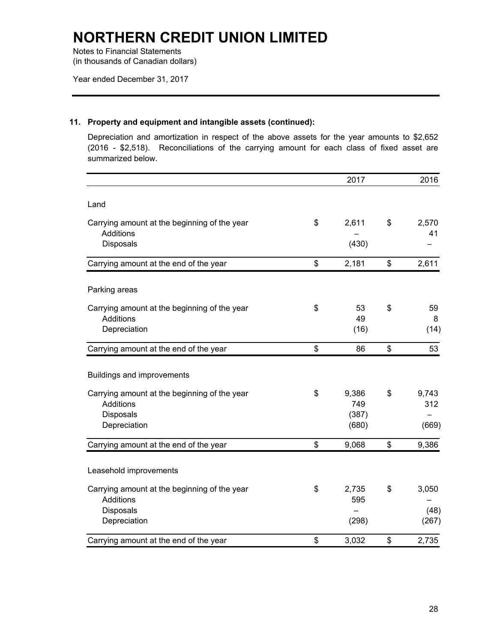Notes to Financial Statements (in thousands of Canadian dollars)

Year ended December 31, 2017

### **11. Property and equipment and intangible assets (continued):**

Depreciation and amortization in respect of the above assets for the year amounts to \$2,652 (2016 - \$2,518). Reconciliations of the carrying amount for each class of fixed asset are summarized below.

|                                                                                               | 2017                                 | 2016                         |
|-----------------------------------------------------------------------------------------------|--------------------------------------|------------------------------|
| Land                                                                                          |                                      |                              |
| Carrying amount at the beginning of the year                                                  | \$<br>2,611                          | \$<br>2,570                  |
| <b>Additions</b><br>Disposals                                                                 | (430)                                | 41                           |
| Carrying amount at the end of the year                                                        | \$<br>2,181                          | \$<br>2,611                  |
| Parking areas                                                                                 |                                      |                              |
| Carrying amount at the beginning of the year<br><b>Additions</b><br>Depreciation              | \$<br>53<br>49<br>(16)               | \$<br>59<br>8<br>(14)        |
| Carrying amount at the end of the year                                                        | \$<br>86                             | \$<br>53                     |
| Buildings and improvements                                                                    |                                      |                              |
| Carrying amount at the beginning of the year<br><b>Additions</b><br>Disposals<br>Depreciation | \$<br>9,386<br>749<br>(387)<br>(680) | \$<br>9,743<br>312<br>(669)  |
| Carrying amount at the end of the year                                                        | \$<br>9,068                          | \$<br>9,386                  |
| Leasehold improvements                                                                        |                                      |                              |
| Carrying amount at the beginning of the year<br><b>Additions</b><br>Disposals<br>Depreciation | \$<br>2,735<br>595<br>(298)          | \$<br>3,050<br>(48)<br>(267) |
| Carrying amount at the end of the year                                                        | \$<br>3,032                          | \$<br>2,735                  |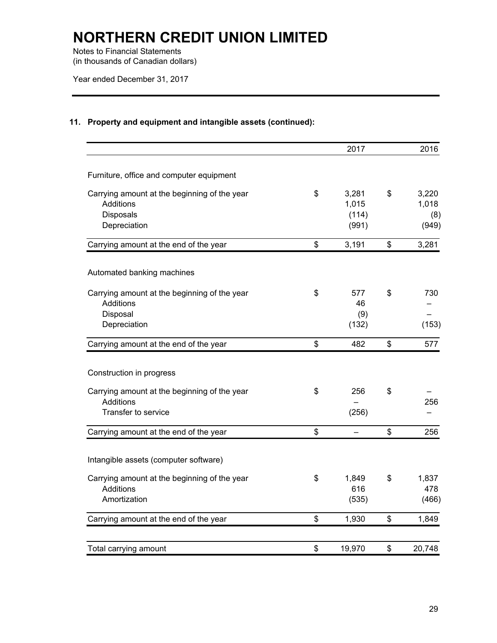Notes to Financial Statements (in thousands of Canadian dollars)

Year ended December 31, 2017

### **11. Property and equipment and intangible assets (continued):**

|                                                                                        | 2017                                   | 2016                                 |
|----------------------------------------------------------------------------------------|----------------------------------------|--------------------------------------|
| Furniture, office and computer equipment                                               |                                        |                                      |
| Carrying amount at the beginning of the year<br>Additions<br>Disposals<br>Depreciation | \$<br>3,281<br>1,015<br>(114)<br>(991) | \$<br>3,220<br>1,018<br>(8)<br>(949) |
| Carrying amount at the end of the year                                                 | \$<br>3,191                            | \$<br>3,281                          |
| Automated banking machines                                                             |                                        |                                      |
| Carrying amount at the beginning of the year<br>Additions<br>Disposal<br>Depreciation  | \$<br>577<br>46<br>(9)<br>(132)        | \$<br>730<br>(153)                   |
| Carrying amount at the end of the year                                                 | \$<br>482                              | \$<br>577                            |
| Construction in progress                                                               |                                        |                                      |
| Carrying amount at the beginning of the year<br>Additions<br>Transfer to service       | \$<br>256<br>(256)                     | \$<br>256                            |
| Carrying amount at the end of the year                                                 | \$                                     | \$<br>256                            |
| Intangible assets (computer software)                                                  |                                        |                                      |
| Carrying amount at the beginning of the year<br>Additions<br>Amortization              | \$<br>1,849<br>616<br>(535)            | \$<br>1,837<br>478<br>(466)          |
| Carrying amount at the end of the year                                                 | \$<br>1,930                            | \$<br>1,849                          |
| Total carrying amount                                                                  | \$<br>19,970                           | \$<br>20,748                         |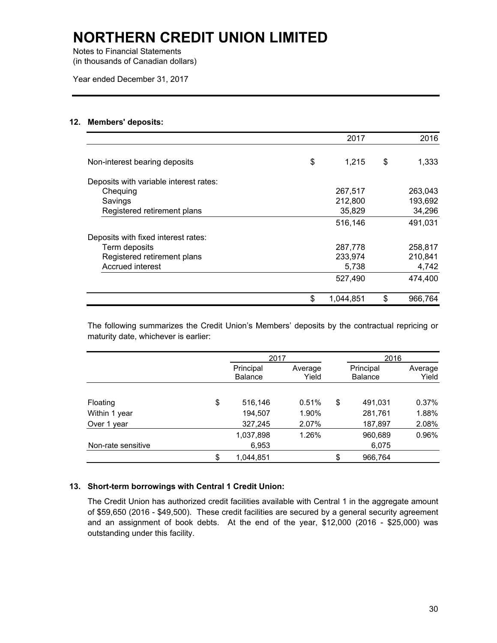Notes to Financial Statements (in thousands of Canadian dollars)

Year ended December 31, 2017

#### **12. Members' deposits:**

|                                        | 2017            | 2016          |
|----------------------------------------|-----------------|---------------|
| Non-interest bearing deposits          | \$<br>1,215     | \$<br>1,333   |
| Deposits with variable interest rates: |                 |               |
| Chequing                               | 267,517         | 263,043       |
| Savings                                | 212,800         | 193,692       |
| Registered retirement plans            | 35,829          | 34,296        |
|                                        | 516,146         | 491,031       |
| Deposits with fixed interest rates:    |                 |               |
| Term deposits                          | 287,778         | 258,817       |
| Registered retirement plans            | 233,974         | 210,841       |
| <b>Accrued interest</b>                | 5,738           | 4,742         |
|                                        | 527,490         | 474,400       |
|                                        | \$<br>1,044,851 | \$<br>966,764 |

The following summarizes the Credit Union's Members' deposits by the contractual repricing or maturity date, whichever is earlier:

|                    |                             | 2017             |    | 2016                        |                  |
|--------------------|-----------------------------|------------------|----|-----------------------------|------------------|
|                    | Principal<br><b>Balance</b> | Average<br>Yield |    | Principal<br><b>Balance</b> | Average<br>Yield |
|                    |                             |                  |    |                             |                  |
| Floating           | \$<br>516,146               | 0.51%            | \$ | 491,031                     | 0.37%            |
| Within 1 year      | 194,507                     | 1.90%            |    | 281,761                     | 1.88%            |
| Over 1 year        | 327,245                     | 2.07%            |    | 187,897                     | 2.08%            |
|                    | 1,037,898                   | 1.26%            |    | 960,689                     | 0.96%            |
| Non-rate sensitive | 6,953                       |                  |    | 6,075                       |                  |
|                    | \$<br>1,044,851             |                  | \$ | 966,764                     |                  |

### **13. Short-term borrowings with Central 1 Credit Union:**

The Credit Union has authorized credit facilities available with Central 1 in the aggregate amount of \$59,650 (2016 - \$49,500). These credit facilities are secured by a general security agreement and an assignment of book debts. At the end of the year, \$12,000 (2016 - \$25,000) was outstanding under this facility.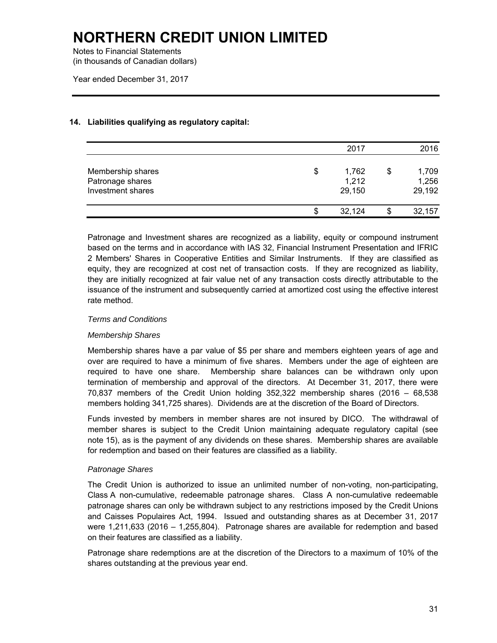Notes to Financial Statements (in thousands of Canadian dollars)

Year ended December 31, 2017

### **14. Liabilities qualifying as regulatory capital:**

|                                                            |    | 2017                     |    | 2016                     |
|------------------------------------------------------------|----|--------------------------|----|--------------------------|
| Membership shares<br>Patronage shares<br>Investment shares | \$ | 1,762<br>1,212<br>29,150 | \$ | 1,709<br>1,256<br>29,192 |
|                                                            | S  | 32,124                   | S  | 32,157                   |

Patronage and Investment shares are recognized as a liability, equity or compound instrument based on the terms and in accordance with IAS 32, Financial Instrument Presentation and IFRIC 2 Members' Shares in Cooperative Entities and Similar Instruments. If they are classified as equity, they are recognized at cost net of transaction costs. If they are recognized as liability, they are initially recognized at fair value net of any transaction costs directly attributable to the issuance of the instrument and subsequently carried at amortized cost using the effective interest rate method.

### *Terms and Conditions*

### *Membership Shares*

Membership shares have a par value of \$5 per share and members eighteen years of age and over are required to have a minimum of five shares. Members under the age of eighteen are required to have one share. Membership share balances can be withdrawn only upon termination of membership and approval of the directors. At December 31, 2017, there were 70,837 members of the Credit Union holding 352,322 membership shares (2016 – 68,538 members holding 341,725 shares). Dividends are at the discretion of the Board of Directors.

Funds invested by members in member shares are not insured by DICO. The withdrawal of member shares is subject to the Credit Union maintaining adequate regulatory capital (see note 15), as is the payment of any dividends on these shares. Membership shares are available for redemption and based on their features are classified as a liability.

### *Patronage Shares*

The Credit Union is authorized to issue an unlimited number of non-voting, non-participating, Class A non-cumulative, redeemable patronage shares. Class A non-cumulative redeemable patronage shares can only be withdrawn subject to any restrictions imposed by the Credit Unions and Caisses Populaires Act, 1994. Issued and outstanding shares as at December 31, 2017 were 1,211,633 (2016 – 1,255,804). Patronage shares are available for redemption and based on their features are classified as a liability.

Patronage share redemptions are at the discretion of the Directors to a maximum of 10% of the shares outstanding at the previous year end.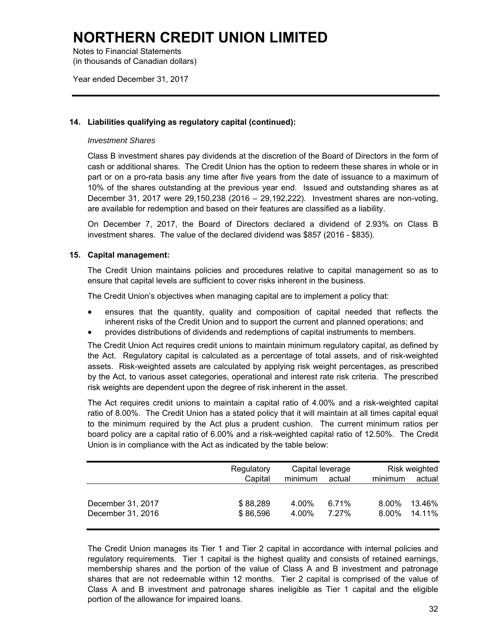Notes to Financial Statements (in thousands of Canadian dollars)

Year ended December 31, 2017

### **14. Liabilities qualifying as regulatory capital (continued):**

#### *Investment Shares*

Class B investment shares pay dividends at the discretion of the Board of Directors in the form of cash or additional shares. The Credit Union has the option to redeem these shares in whole or in part or on a pro-rata basis any time after five years from the date of issuance to a maximum of 10% of the shares outstanding at the previous year end. Issued and outstanding shares as at December 31, 2017 were 29,150,238 (2016 – 29,192,222). Investment shares are non-voting, are available for redemption and based on their features are classified as a liability.

On December 7, 2017, the Board of Directors declared a dividend of 2.93% on Class B investment shares. The value of the declared dividend was \$857 (2016 - \$835).

### **15. Capital management:**

The Credit Union maintains policies and procedures relative to capital management so as to ensure that capital levels are sufficient to cover risks inherent in the business.

The Credit Union's objectives when managing capital are to implement a policy that:

- ensures that the quantity, quality and composition of capital needed that reflects the inherent risks of the Credit Union and to support the current and planned operations; and
- provides distributions of dividends and redemptions of capital instruments to members.

The Credit Union Act requires credit unions to maintain minimum regulatory capital, as defined by the Act. Regulatory capital is calculated as a percentage of total assets, and of risk-weighted assets. Risk-weighted assets are calculated by applying risk weight percentages, as prescribed by the Act, to various asset categories, operational and interest rate risk criteria. The prescribed risk weights are dependent upon the degree of risk inherent in the asset.

The Act requires credit unions to maintain a capital ratio of 4.00% and a risk-weighted capital ratio of 8.00%. The Credit Union has a stated policy that it will maintain at all times capital equal to the minimum required by the Act plus a prudent cushion. The current minimum ratios per board policy are a capital ratio of 6.00% and a risk-weighted capital ratio of 12.50%. The Credit Union is in compliance with the Act as indicated by the table below:

|                   | Regulatory<br>Capital | Capital leverage<br>minimum | actual | minimum | Risk weighted<br>actual |
|-------------------|-----------------------|-----------------------------|--------|---------|-------------------------|
| December 31, 2017 | \$88,289              | 4.00%                       | 6.71%  | 8.00%   | 13.46%                  |
| December 31, 2016 | \$86,596              | 4.00%                       | 7 27%  | 8.00%   | 14.11%                  |

The Credit Union manages its Tier 1 and Tier 2 capital in accordance with internal policies and regulatory requirements. Tier 1 capital is the highest quality and consists of retained earnings, membership shares and the portion of the value of Class A and B investment and patronage shares that are not redeemable within 12 months. Tier 2 capital is comprised of the value of Class A and B investment and patronage shares ineligible as Tier 1 capital and the eligible portion of the allowance for impaired loans.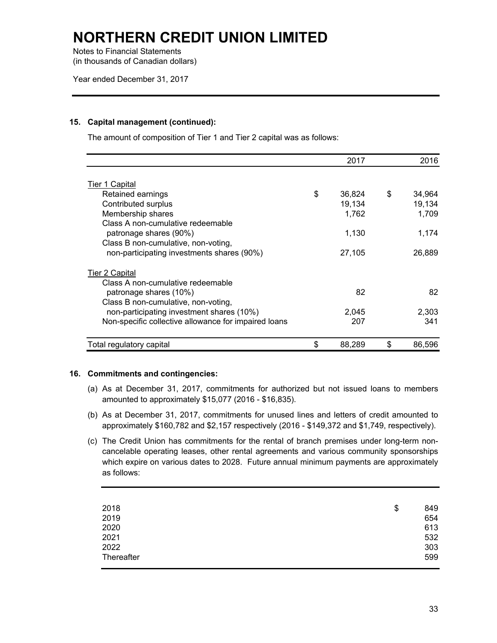Notes to Financial Statements (in thousands of Canadian dollars)

Year ended December 31, 2017

#### **15. Capital management (continued):**

The amount of composition of Tier 1 and Tier 2 capital was as follows:

|                                                      | 2017         | 2016         |
|------------------------------------------------------|--------------|--------------|
| Tier 1 Capital                                       |              |              |
| Retained earnings                                    | \$<br>36,824 | \$<br>34,964 |
| Contributed surplus                                  | 19,134       | 19,134       |
| Membership shares                                    | 1,762        | 1,709        |
| Class A non-cumulative redeemable                    |              |              |
| patronage shares (90%)                               | 1,130        | 1,174        |
| Class B non-cumulative, non-voting,                  |              |              |
|                                                      |              |              |
| non-participating investments shares (90%)           | 27,105       | 26,889       |
| <b>Tier 2 Capital</b>                                |              |              |
| Class A non-cumulative redeemable                    |              |              |
| patronage shares (10%)                               | 82           | 82           |
| Class B non-cumulative, non-voting,                  |              |              |
| non-participating investment shares (10%)            | 2,045        | 2,303        |
| Non-specific collective allowance for impaired loans | 207          | 341          |
|                                                      |              |              |
| Total regulatory capital                             | \$<br>88,289 | \$<br>86,596 |

### **16. Commitments and contingencies:**

- (a) As at December 31, 2017, commitments for authorized but not issued loans to members amounted to approximately \$15,077 (2016 - \$16,835).
- (b) As at December 31, 2017, commitments for unused lines and letters of credit amounted to approximately \$160,782 and \$2,157 respectively (2016 - \$149,372 and \$1,749, respectively).
- (c) The Credit Union has commitments for the rental of branch premises under long-term noncancelable operating leases, other rental agreements and various community sponsorships which expire on various dates to 2028. Future annual minimum payments are approximately as follows:

| 2018       | \$<br>849 |
|------------|-----------|
| 2019       | 654       |
| 2020       | 613       |
| 2021       | 532       |
| 2022       | 303       |
| Thereafter | 599       |
|            |           |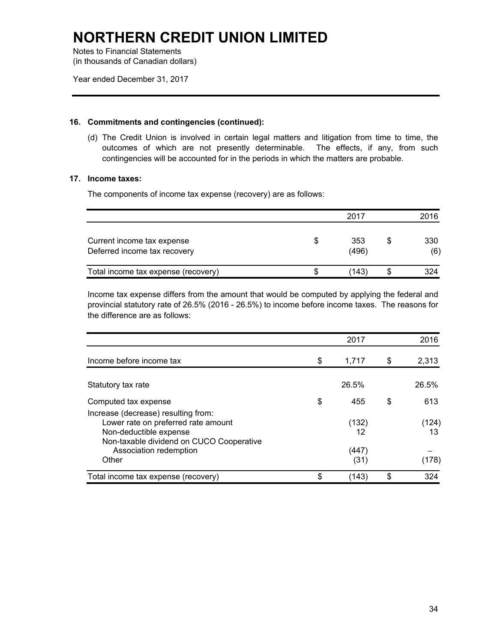Notes to Financial Statements (in thousands of Canadian dollars)

Year ended December 31, 2017

#### **16. Commitments and contingencies (continued):**

(d) The Credit Union is involved in certain legal matters and litigation from time to time, the outcomes of which are not presently determinable. The effects, if any, from such contingencies will be accounted for in the periods in which the matters are probable.

### **17. Income taxes:**

The components of income tax expense (recovery) are as follows:

|                                                            |   | 2017         |   | 2016       |
|------------------------------------------------------------|---|--------------|---|------------|
| Current income tax expense<br>Deferred income tax recovery | S | 353<br>(496) | S | 330<br>(6) |
| Total income tax expense (recovery)                        |   | (143)        |   | 324        |

Income tax expense differs from the amount that would be computed by applying the federal and provincial statutory rate of 26.5% (2016 - 26.5%) to income before income taxes. The reasons for the difference are as follows:

|                                                                                                      | 2017          | 2016        |
|------------------------------------------------------------------------------------------------------|---------------|-------------|
| Income before income tax                                                                             | \$<br>1,717   | \$<br>2,313 |
| Statutory tax rate                                                                                   | 26.5%         | 26.5%       |
| Computed tax expense                                                                                 | \$<br>455     | \$<br>613   |
| Increase (decrease) resulting from:<br>Lower rate on preferred rate amount<br>Non-deductible expense | (132)<br>12   | (124)<br>13 |
| Non-taxable dividend on CUCO Cooperative<br>Association redemption<br>Other                          | (447)<br>(31) | (178)       |
| Total income tax expense (recovery)                                                                  | \$<br>(143)   | \$<br>324   |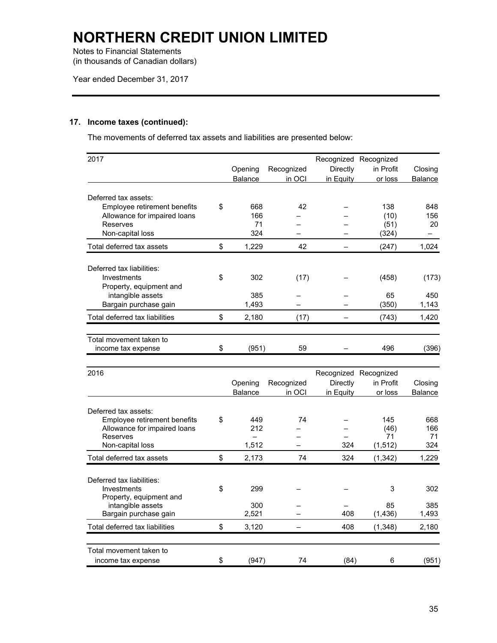Notes to Financial Statements (in thousands of Canadian dollars)

Year ended December 31, 2017

### **17. Income taxes (continued):**

The movements of deferred tax assets and liabilities are presented below:

| 2017                                                                                                                 |                               |                      |                              | Recognized Recognized                         |                                              |
|----------------------------------------------------------------------------------------------------------------------|-------------------------------|----------------------|------------------------------|-----------------------------------------------|----------------------------------------------|
|                                                                                                                      | Opening                       | Recognized           | Directly                     | in Profit                                     | Closing                                      |
|                                                                                                                      | Balance                       | in OCI               | in Equity                    | or loss                                       | <b>Balance</b>                               |
| Deferred tax assets:<br>Employee retirement benefits<br>Allowance for impaired loans<br>Reserves<br>Non-capital loss | \$<br>668<br>166<br>71<br>324 | 42                   |                              | 138<br>(10)<br>(51)<br>(324)                  | 848<br>156<br>20<br>$\overline{\phantom{0}}$ |
| Total deferred tax assets                                                                                            | \$<br>1,229                   | 42                   |                              | (247)                                         | 1,024                                        |
| Deferred tax liabilities:<br>Investments<br>Property, equipment and<br>intangible assets<br>Bargain purchase gain    | \$<br>302<br>385<br>1,493     | (17)                 |                              | (458)<br>65<br>(350)                          | (173)<br>450<br>1,143                        |
| Total deferred tax liabilities                                                                                       | \$<br>2,180                   | (17)                 |                              | (743)                                         | 1,420                                        |
| Total movement taken to<br>income tax expense                                                                        | \$<br>(951)                   | 59                   |                              | 496                                           | (396)                                        |
| 2016                                                                                                                 | Opening<br>Balance            | Recognized<br>in OCI | <b>Directly</b><br>in Equity | Recognized Recognized<br>in Profit<br>or loss | Closing<br>Balance                           |
| Deferred tax assets:<br>Employee retirement benefits<br>Allowance for impaired loans<br>Reserves<br>Non-capital loss | \$<br>449<br>212<br>1,512     | 74                   | 324                          | 145<br>(46)<br>71<br>(1, 512)                 | 668<br>166<br>71<br>324                      |
| Total deferred tax assets                                                                                            | \$<br>2,173                   | 74                   | 324                          | (1, 342)                                      | 1,229                                        |
| Deferred tax liabilities:<br>Investments<br>Property, equipment and<br>intangible assets<br>Bargain purchase gain    | \$<br>299<br>300<br>2,521     |                      | 408                          | 3<br>85<br>(1, 436)                           | 302<br>385<br>1,493                          |
| Total deferred tax liabilities                                                                                       | \$<br>3,120                   |                      | 408                          | (1, 348)                                      | 2,180                                        |
| Total movement taken to<br>income tax expense                                                                        | \$<br>(947)                   | 74                   | (84)                         | 6                                             | (951)                                        |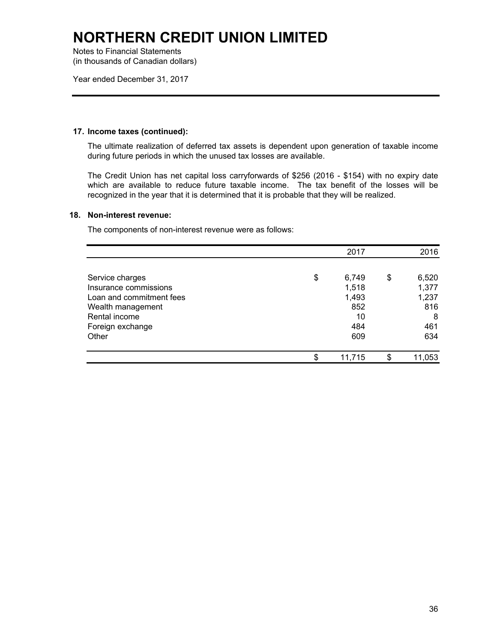Notes to Financial Statements (in thousands of Canadian dollars)

Year ended December 31, 2017

#### **17. Income taxes (continued):**

The ultimate realization of deferred tax assets is dependent upon generation of taxable income during future periods in which the unused tax losses are available.

The Credit Union has net capital loss carryforwards of \$256 (2016 - \$154) with no expiry date which are available to reduce future taxable income. The tax benefit of the losses will be recognized in the year that it is determined that it is probable that they will be realized.

#### **18. Non-interest revenue:**

The components of non-interest revenue were as follows:

|                          | 2017         | 2016         |
|--------------------------|--------------|--------------|
| Service charges          | \$<br>6,749  | \$<br>6,520  |
| Insurance commissions    | 1,518        | 1,377        |
| Loan and commitment fees | 1,493        | 1,237        |
| Wealth management        | 852          | 816          |
| Rental income            | 10           | 8            |
| Foreign exchange         | 484          | 461          |
| Other                    | 609          | 634          |
|                          | \$<br>11,715 | \$<br>11,053 |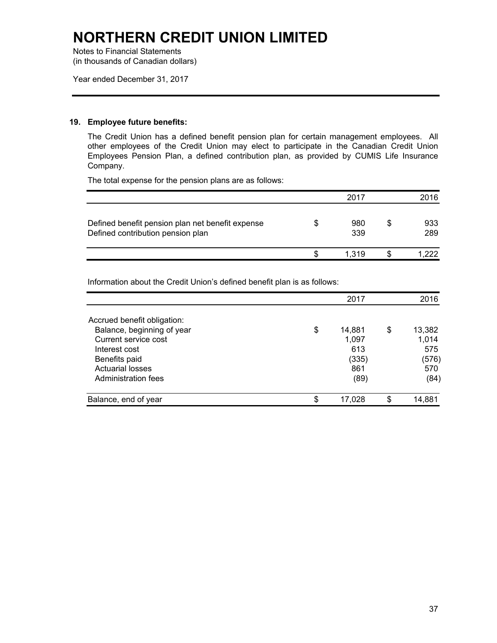Notes to Financial Statements (in thousands of Canadian dollars)

Year ended December 31, 2017

#### **19. Employee future benefits:**

The Credit Union has a defined benefit pension plan for certain management employees. All other employees of the Credit Union may elect to participate in the Canadian Credit Union Employees Pension Plan, a defined contribution plan, as provided by CUMIS Life Insurance Company.

The total expense for the pension plans are as follows:

|                                                                                       | 2017       | 2016       |
|---------------------------------------------------------------------------------------|------------|------------|
| Defined benefit pension plan net benefit expense<br>Defined contribution pension plan | 980<br>339 | 933<br>289 |
|                                                                                       | 1.319      |            |

Information about the Credit Union's defined benefit plan is as follows:

|                             | 2017         | 2016         |
|-----------------------------|--------------|--------------|
| Accrued benefit obligation: |              |              |
| Balance, beginning of year  | \$<br>14,881 | \$<br>13,382 |
| Current service cost        | 1,097        | 1,014        |
| Interest cost               | 613          | 575          |
| Benefits paid               | (335)        | (576)        |
| <b>Actuarial losses</b>     | 861          | 570          |
| <b>Administration fees</b>  | (89)         | (84)         |
| Balance, end of year        | \$<br>17,028 | \$<br>14,881 |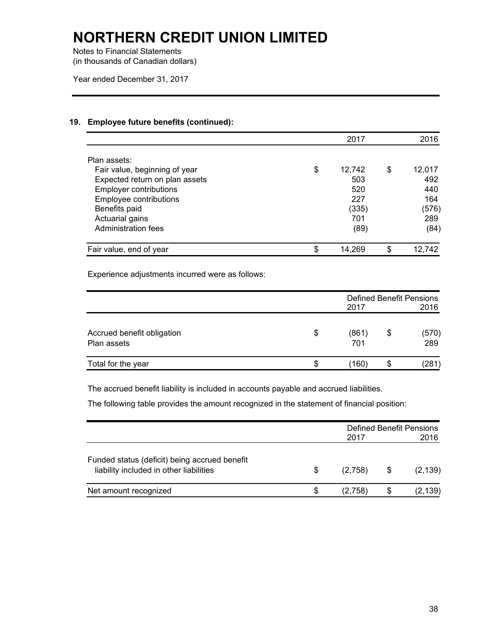Notes to Financial Statements (in thousands of Canadian dollars)

Year ended December 31, 2017

### **19. Employee future benefits (continued):**

|                                | 2017         | 2016         |
|--------------------------------|--------------|--------------|
| Plan assets:                   |              |              |
| Fair value, beginning of year  | \$<br>12,742 | \$<br>12,017 |
| Expected return on plan assets | 503          | 492          |
| <b>Employer contributions</b>  | 520          | 440          |
| Employee contributions         | 227          | 164          |
| Benefits paid                  | (335)        | (576)        |
| Actuarial gains                | 701          | 289          |
| Administration fees            | (89)         | (84)         |
| Fair value, end of year        | \$<br>14,269 | \$<br>12.742 |

Experience adjustments incurred were as follows:

|                                           | 2017               | Defined Benefit Pensions<br>2016 |              |
|-------------------------------------------|--------------------|----------------------------------|--------------|
| Accrued benefit obligation<br>Plan assets | \$<br>(861)<br>701 | \$                               | (570)<br>289 |
| Total for the year                        | \$<br>.160)        | \$                               | 281          |

The accrued benefit liability is included in accounts payable and accrued liabilities.

The following table provides the amount recognized in the statement of financial position:

|                                                                                          |   |              | Defined Benefit Pensions |          |  |  |  |
|------------------------------------------------------------------------------------------|---|--------------|--------------------------|----------|--|--|--|
|                                                                                          |   | 2017         | 2016                     |          |  |  |  |
| Funded status (deficit) being accrued benefit<br>liability included in other liabilities | S | $(2,758)$ \$ |                          | (2, 139) |  |  |  |
| Net amount recognized                                                                    | S | (2.758)      | \$                       | (2, 139) |  |  |  |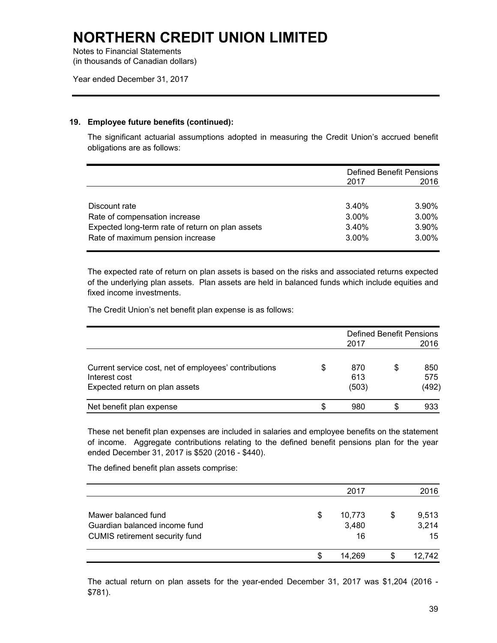Notes to Financial Statements (in thousands of Canadian dollars)

Year ended December 31, 2017

#### **19. Employee future benefits (continued):**

The significant actuarial assumptions adopted in measuring the Credit Union's accrued benefit obligations are as follows:

|                                                  | 2017     | <b>Defined Benefit Pensions</b><br>2016 |
|--------------------------------------------------|----------|-----------------------------------------|
|                                                  |          |                                         |
| Discount rate                                    | 3.40%    | 3.90%                                   |
| Rate of compensation increase                    | 3.00%    | 3.00%                                   |
| Expected long-term rate of return on plan assets | 3.40%    | 3.90%                                   |
| Rate of maximum pension increase                 | $3.00\%$ | 3.00%                                   |

The expected rate of return on plan assets is based on the risks and associated returns expected of the underlying plan assets. Plan assets are held in balanced funds which include equities and fixed income investments.

The Credit Union's net benefit plan expense is as follows:

|                                                                        |     | Defined Benefit Pensions |   |            |  |
|------------------------------------------------------------------------|-----|--------------------------|---|------------|--|
|                                                                        |     | 2017                     |   | 2016       |  |
|                                                                        |     |                          |   |            |  |
| Current service cost, net of employees' contributions<br>Interest cost | S   | 870<br>613               | S | 850<br>575 |  |
| Expected return on plan assets                                         |     | (503)                    |   | (492)      |  |
| Net benefit plan expense                                               | \$. | 980                      |   | 933        |  |

These net benefit plan expenses are included in salaries and employee benefits on the statement of income. Aggregate contributions relating to the defined benefit pensions plan for the year ended December 31, 2017 is \$520 (2016 - \$440).

The defined benefit plan assets comprise:

|                                       |    | 2017   |   | 2016   |
|---------------------------------------|----|--------|---|--------|
| Mawer balanced fund                   | S  | 10,773 | S | 9,513  |
| Guardian balanced income fund         |    | 3,480  |   | 3,214  |
| <b>CUMIS</b> retirement security fund |    | 16     |   | 15     |
|                                       | \$ | 14.269 | S | 12.742 |

The actual return on plan assets for the year-ended December 31, 2017 was \$1,204 (2016 - \$781).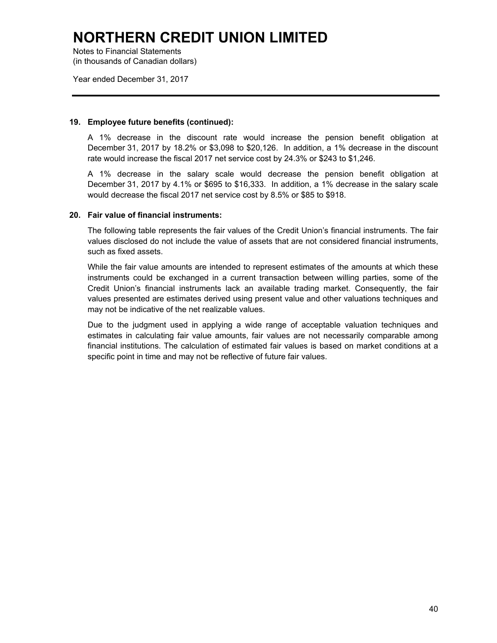Notes to Financial Statements (in thousands of Canadian dollars)

Year ended December 31, 2017

#### **19. Employee future benefits (continued):**

A 1% decrease in the discount rate would increase the pension benefit obligation at December 31, 2017 by 18.2% or \$3,098 to \$20,126. In addition, a 1% decrease in the discount rate would increase the fiscal 2017 net service cost by 24.3% or \$243 to \$1,246.

A 1% decrease in the salary scale would decrease the pension benefit obligation at December 31, 2017 by 4.1% or \$695 to \$16,333. In addition, a 1% decrease in the salary scale would decrease the fiscal 2017 net service cost by 8.5% or \$85 to \$918.

### **20. Fair value of financial instruments:**

The following table represents the fair values of the Credit Union's financial instruments. The fair values disclosed do not include the value of assets that are not considered financial instruments, such as fixed assets.

While the fair value amounts are intended to represent estimates of the amounts at which these instruments could be exchanged in a current transaction between willing parties, some of the Credit Union's financial instruments lack an available trading market. Consequently, the fair values presented are estimates derived using present value and other valuations techniques and may not be indicative of the net realizable values.

Due to the judgment used in applying a wide range of acceptable valuation techniques and estimates in calculating fair value amounts, fair values are not necessarily comparable among financial institutions. The calculation of estimated fair values is based on market conditions at a specific point in time and may not be reflective of future fair values.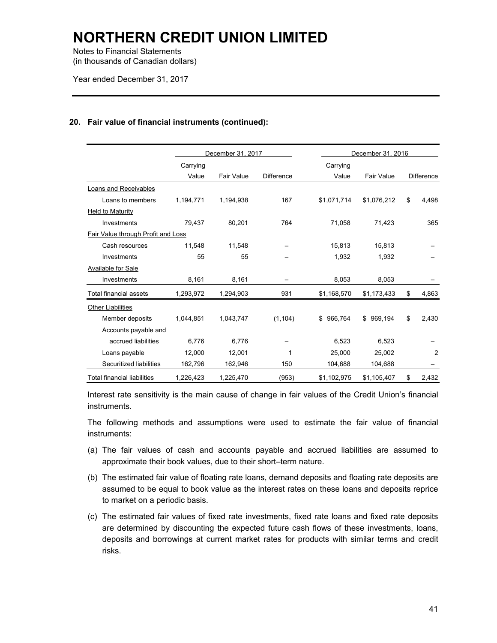Notes to Financial Statements (in thousands of Canadian dollars)

Year ended December 31, 2017

#### **20. Fair value of financial instruments (continued):**

|                                    |           | December 31, 2017 |                   | December 31, 2016 |               |    |                   |
|------------------------------------|-----------|-------------------|-------------------|-------------------|---------------|----|-------------------|
|                                    | Carrying  |                   |                   | Carrying          |               |    |                   |
|                                    | Value     | Fair Value        | <b>Difference</b> | Value             | Fair Value    |    | <b>Difference</b> |
| <b>Loans and Receivables</b>       |           |                   |                   |                   |               |    |                   |
| Loans to members                   | 1,194,771 | 1,194,938         | 167               | \$1,071,714       | \$1,076,212   | \$ | 4,498             |
| <b>Held to Maturity</b>            |           |                   |                   |                   |               |    |                   |
| Investments                        | 79,437    | 80,201            | 764               | 71,058            | 71,423        |    | 365               |
| Fair Value through Profit and Loss |           |                   |                   |                   |               |    |                   |
| Cash resources                     | 11,548    | 11,548            |                   | 15,813            | 15,813        |    |                   |
| Investments                        | 55        | 55                |                   | 1,932             | 1,932         |    |                   |
| Available for Sale                 |           |                   |                   |                   |               |    |                   |
| Investments                        | 8,161     | 8,161             |                   | 8,053             | 8,053         |    |                   |
| <b>Total financial assets</b>      | 1,293,972 | 1,294,903         | 931               | \$1,168,570       | \$1,173,433   | \$ | 4,863             |
| <b>Other Liabilities</b>           |           |                   |                   |                   |               |    |                   |
| Member deposits                    | 1,044,851 | 1,043,747         | (1, 104)          | \$<br>966,764     | 969,194<br>\$ | \$ | 2,430             |
| Accounts payable and               |           |                   |                   |                   |               |    |                   |
| accrued liabilities                | 6,776     | 6,776             |                   | 6,523             | 6,523         |    |                   |
| Loans payable                      | 12,000    | 12,001            | 1                 | 25,000            | 25,002        |    | $\overline{2}$    |
| Securitized liabilities            | 162,796   | 162,946           | 150               | 104,688           | 104,688       |    |                   |
| <b>Total financial liabilities</b> | 1,226,423 | 1,225,470         | (953)             | \$1,102,975       | \$1,105,407   | \$ | 2,432             |

Interest rate sensitivity is the main cause of change in fair values of the Credit Union's financial instruments.

The following methods and assumptions were used to estimate the fair value of financial instruments:

- (a) The fair values of cash and accounts payable and accrued liabilities are assumed to approximate their book values, due to their short–term nature.
- (b) The estimated fair value of floating rate loans, demand deposits and floating rate deposits are assumed to be equal to book value as the interest rates on these loans and deposits reprice to market on a periodic basis.
- (c) The estimated fair values of fixed rate investments, fixed rate loans and fixed rate deposits are determined by discounting the expected future cash flows of these investments, loans, deposits and borrowings at current market rates for products with similar terms and credit risks.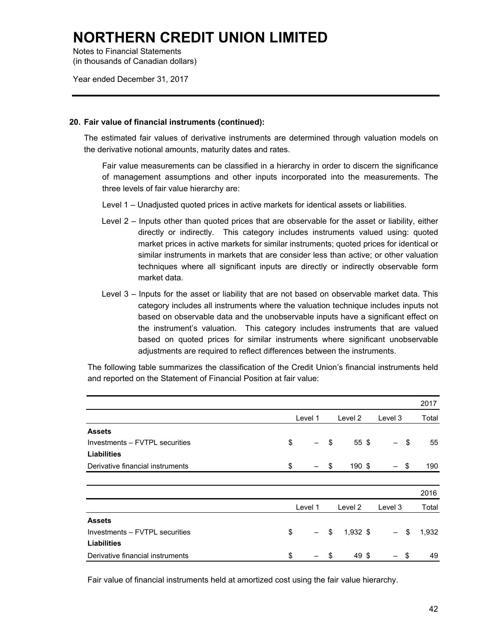Notes to Financial Statements (in thousands of Canadian dollars)

Year ended December 31, 2017

#### **20. Fair value of financial instruments (continued):**

The estimated fair values of derivative instruments are determined through valuation models on the derivative notional amounts, maturity dates and rates.

Fair value measurements can be classified in a hierarchy in order to discern the significance of management assumptions and other inputs incorporated into the measurements. The three levels of fair value hierarchy are:

Level 1 – Unadjusted quoted prices in active markets for identical assets or liabilities.

- Level 2 Inputs other than quoted prices that are observable for the asset or liability, either directly or indirectly. This category includes instruments valued using: quoted market prices in active markets for similar instruments; quoted prices for identical or similar instruments in markets that are consider less than active; or other valuation techniques where all significant inputs are directly or indirectly observable form market data.
- Level 3 Inputs for the asset or liability that are not based on observable market data. This category includes all instruments where the valuation technique includes inputs not based on observable data and the unobservable inputs have a significant effect on the instrument's valuation. This category includes instruments that are valued based on quoted prices for similar instruments where significant unobservable adjustments are required to reflect differences between the instruments.

|                                  |                                |                |                          | 2017        |
|----------------------------------|--------------------------------|----------------|--------------------------|-------------|
|                                  | Level 1                        | Level 2        | Level 3                  | Total       |
| <b>Assets</b>                    |                                |                |                          |             |
| Investments - FVTPL securities   | \$<br>$\qquad \qquad -$        | \$<br>$55$ \$  | $\overline{\phantom{0}}$ | \$<br>55    |
| <b>Liabilities</b>               |                                |                |                          |             |
| Derivative financial instruments | \$                             | \$<br>190 \$   |                          | \$<br>190   |
|                                  |                                |                |                          |             |
|                                  |                                |                |                          | 2016        |
|                                  | Level 1                        | Level 2        | Level 3                  | Total       |
| <b>Assets</b>                    |                                |                |                          |             |
| Investments - FVTPL securities   | \$<br>$\overline{\phantom{0}}$ | \$<br>1,932 \$ | $\equiv$                 | \$<br>1,932 |
| <b>Liabilities</b>               |                                |                |                          |             |
| Derivative financial instruments | \$<br>—                        | \$<br>49 \$    |                          | \$<br>49    |

The following table summarizes the classification of the Credit Union's financial instruments held and reported on the Statement of Financial Position at fair value:

Fair value of financial instruments held at amortized cost using the fair value hierarchy.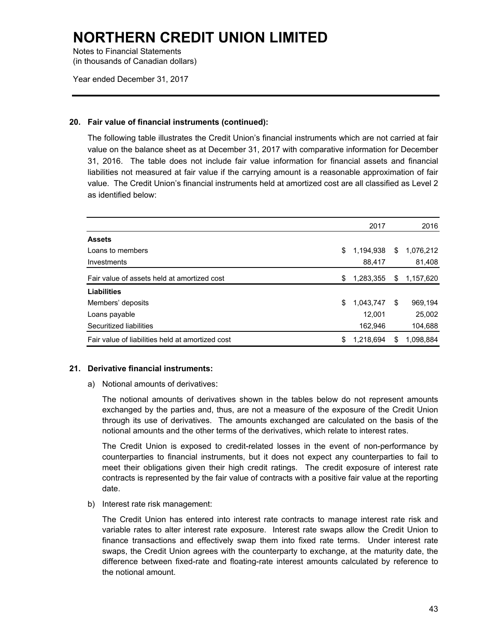Notes to Financial Statements (in thousands of Canadian dollars)

Year ended December 31, 2017

#### **20. Fair value of financial instruments (continued):**

The following table illustrates the Credit Union's financial instruments which are not carried at fair value on the balance sheet as at December 31, 2017 with comparative information for December 31, 2016. The table does not include fair value information for financial assets and financial liabilities not measured at fair value if the carrying amount is a reasonable approximation of fair value. The Credit Union's financial instruments held at amortized cost are all classified as Level 2 as identified below:

|                                                  | 2017            |    | 2016      |
|--------------------------------------------------|-----------------|----|-----------|
| <b>Assets</b>                                    |                 |    |           |
| Loans to members                                 | \$<br>1,194,938 | \$ | 1,076,212 |
| Investments                                      | 88,417          |    | 81,408    |
| Fair value of assets held at amortized cost      | \$<br>1,283,355 | S  | 1,157,620 |
| Liabilities                                      |                 |    |           |
| Members' deposits                                | \$<br>1,043,747 | \$ | 969,194   |
| Loans payable                                    | 12.001          |    | 25,002    |
| Securitized liabilities                          | 162,946         |    | 104,688   |
| Fair value of liabilities held at amortized cost | \$<br>1,218,694 | \$ | 1,098,884 |

### **21. Derivative financial instruments:**

a) Notional amounts of derivatives:

The notional amounts of derivatives shown in the tables below do not represent amounts exchanged by the parties and, thus, are not a measure of the exposure of the Credit Union through its use of derivatives. The amounts exchanged are calculated on the basis of the notional amounts and the other terms of the derivatives, which relate to interest rates.

The Credit Union is exposed to credit-related losses in the event of non-performance by counterparties to financial instruments, but it does not expect any counterparties to fail to meet their obligations given their high credit ratings. The credit exposure of interest rate contracts is represented by the fair value of contracts with a positive fair value at the reporting date.

b) Interest rate risk management:

The Credit Union has entered into interest rate contracts to manage interest rate risk and variable rates to alter interest rate exposure. Interest rate swaps allow the Credit Union to finance transactions and effectively swap them into fixed rate terms. Under interest rate swaps, the Credit Union agrees with the counterparty to exchange, at the maturity date, the difference between fixed-rate and floating-rate interest amounts calculated by reference to the notional amount.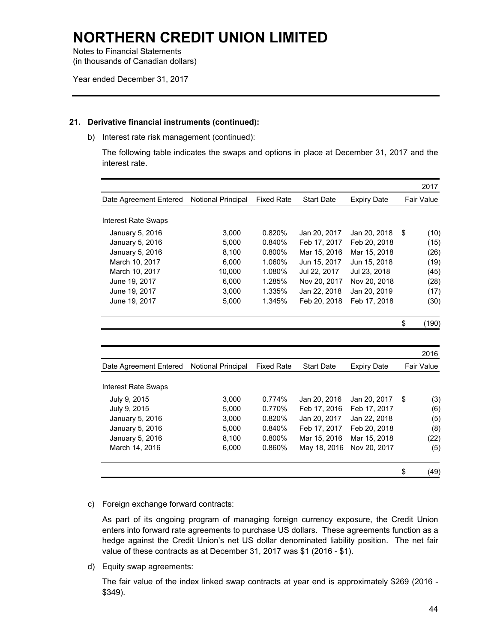Notes to Financial Statements (in thousands of Canadian dollars)

Year ended December 31, 2017

#### **21. Derivative financial instruments (continued):**

b) Interest rate risk management (continued):

The following table indicates the swaps and options in place at December 31, 2017 and the interest rate.

|                            |                    |                   |                   |                    | 2017              |
|----------------------------|--------------------|-------------------|-------------------|--------------------|-------------------|
| Date Agreement Entered     | Notional Principal | <b>Fixed Rate</b> | <b>Start Date</b> | <b>Expiry Date</b> | <b>Fair Value</b> |
| <b>Interest Rate Swaps</b> |                    |                   |                   |                    |                   |
| January 5, 2016            | 3,000              | 0.820%            | Jan 20, 2017      | Jan 20, 2018       | \$<br>(10)        |
| January 5, 2016            | 5,000              | 0.840%            | Feb 17, 2017      | Feb 20, 2018       | (15)              |
| January 5, 2016            | 8,100              | 0.800%            | Mar 15, 2016      | Mar 15, 2018       | (26)              |
| March 10, 2017             | 6,000              | 1.060%            | Jun 15, 2017      | Jun 15, 2018       | (19)              |
| March 10, 2017             | 10,000             | 1.080%            | Jul 22, 2017      | Jul 23, 2018       | (45)              |
| June 19, 2017              | 6,000              | 1.285%            | Nov 20, 2017      | Nov 20, 2018       | (28)              |
| June 19, 2017              | 3,000              | 1.335%            | Jan 22, 2018      | Jan 20, 2019       | (17)              |
| June 19, 2017              | 5,000              | 1.345%            | Feb 20, 2018      | Feb 17, 2018       | (30)              |
|                            |                    |                   |                   |                    | \$<br>(190)       |
|                            |                    |                   |                   |                    |                   |
|                            |                    |                   |                   |                    | 2016              |
| Date Agreement Entered     | Notional Principal | <b>Fixed Rate</b> | <b>Start Date</b> | <b>Expiry Date</b> | Fair Value        |
| <b>Interest Rate Swaps</b> |                    |                   |                   |                    |                   |
| July 9, 2015               | 3,000              | 0.774%            | Jan 20, 2016      | Jan 20, 2017       | \$<br>(3)         |
| July 9, 2015               | 5,000              | 0.770%            | Feb 17, 2016      | Feb 17, 2017       | (6)               |
| January 5, 2016            | 3,000              | 0.820%            | Jan 20, 2017      | Jan 22, 2018       | (5)               |
| January 5, 2016            | 5,000              | 0.840%            | Feb 17, 2017      | Feb 20, 2018       | (8)               |
| January 5, 2016            | 8,100              | 0.800%            | Mar 15, 2016      | Mar 15, 2018       | (22)              |
| March 14, 2016             | 6,000              | 0.860%            | May 18, 2016      | Nov 20, 2017       | (5)               |
|                            |                    |                   |                   |                    | \$<br>(49)        |

### c) Foreign exchange forward contracts:

 As part of its ongoing program of managing foreign currency exposure, the Credit Union enters into forward rate agreements to purchase US dollars. These agreements function as a hedge against the Credit Union's net US dollar denominated liability position. The net fair value of these contracts as at December 31, 2017 was \$1 (2016 - \$1).

d) Equity swap agreements:

 The fair value of the index linked swap contracts at year end is approximately \$269 (2016 - \$349).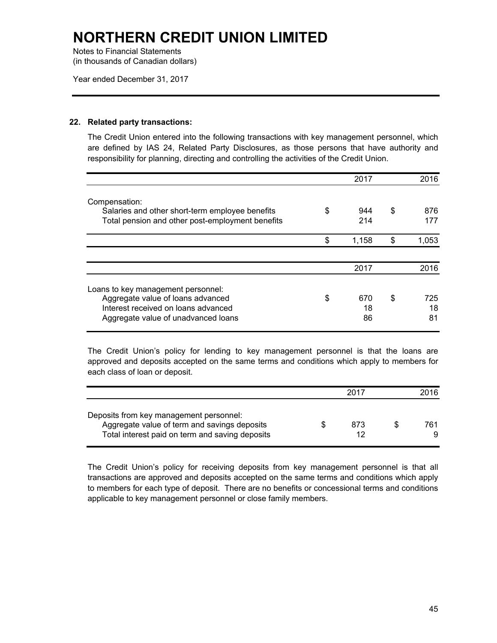Notes to Financial Statements (in thousands of Canadian dollars)

Year ended December 31, 2017

#### **22. Related party transactions:**

The Credit Union entered into the following transactions with key management personnel, which are defined by IAS 24, Related Party Disclosures, as those persons that have authority and responsibility for planning, directing and controlling the activities of the Credit Union.

|                                                                          | 2017            | 2016            |
|--------------------------------------------------------------------------|-----------------|-----------------|
| Compensation:<br>Salaries and other short-term employee benefits         | \$<br>944       | \$<br>876       |
| Total pension and other post-employment benefits                         | 214             | 177             |
|                                                                          | \$<br>1,158     | \$<br>1,053     |
|                                                                          |                 |                 |
|                                                                          | 2017            | 2016            |
| Loans to key management personnel:                                       |                 |                 |
| Aggregate value of loans advanced<br>Interest received on loans advanced | \$<br>670<br>18 | \$<br>725<br>18 |
| Aggregate value of unadvanced loans                                      | 86              | 81              |

The Credit Union's policy for lending to key management personnel is that the loans are approved and deposits accepted on the same terms and conditions which apply to members for each class of loan or deposit.

|                                                                                                                                            | 2017      | 2016 |
|--------------------------------------------------------------------------------------------------------------------------------------------|-----------|------|
| Deposits from key management personnel:<br>Aggregate value of term and savings deposits<br>Total interest paid on term and saving deposits | 873<br>12 | 761  |

The Credit Union's policy for receiving deposits from key management personnel is that all transactions are approved and deposits accepted on the same terms and conditions which apply to members for each type of deposit. There are no benefits or concessional terms and conditions applicable to key management personnel or close family members.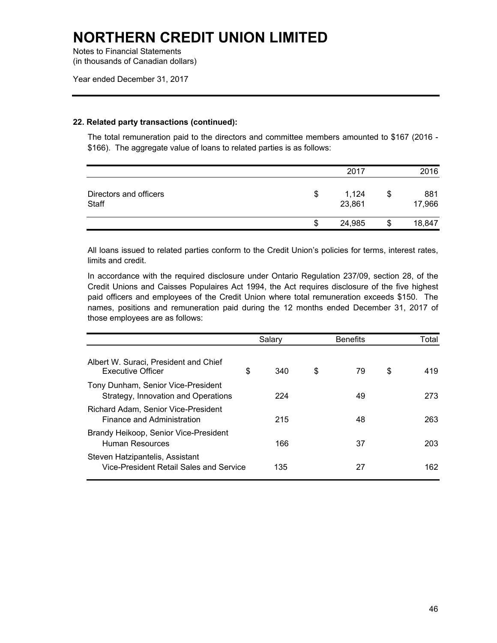Notes to Financial Statements (in thousands of Canadian dollars)

Year ended December 31, 2017

#### **22. Related party transactions (continued):**

The total remuneration paid to the directors and committee members amounted to \$167 (2016 - \$166). The aggregate value of loans to related parties is as follows:

|                                 | 2017                  |    |               |  |
|---------------------------------|-----------------------|----|---------------|--|
| Directors and officers<br>Staff | \$<br>1,124<br>23,861 | \$ | 881<br>17,966 |  |
|                                 | \$<br>24,985          | S  | 18,847        |  |

All loans issued to related parties conform to the Credit Union's policies for terms, interest rates, limits and credit.

 In accordance with the required disclosure under Ontario Regulation 237/09, section 28, of the Credit Unions and Caisses Populaires Act 1994, the Act requires disclosure of the five highest paid officers and employees of the Credit Union where total remuneration exceeds \$150. The names, positions and remuneration paid during the 12 months ended December 31, 2017 of those employees are as follows:

|                                                                            | Salary    | <b>Benefits</b> | Total     |
|----------------------------------------------------------------------------|-----------|-----------------|-----------|
| Albert W. Suraci, President and Chief<br>Executive Officer                 | \$<br>340 | \$<br>79        | \$<br>419 |
| Tony Dunham, Senior Vice-President<br>Strategy, Innovation and Operations  | 224       | 49              | 273       |
| Richard Adam, Senior Vice-President<br>Finance and Administration          | 215       | 48              | 263       |
| Brandy Heikoop, Senior Vice-President<br>Human Resources                   | 166       | 37              | 203       |
| Steven Hatzipantelis, Assistant<br>Vice-President Retail Sales and Service | 135       | 27              | 162       |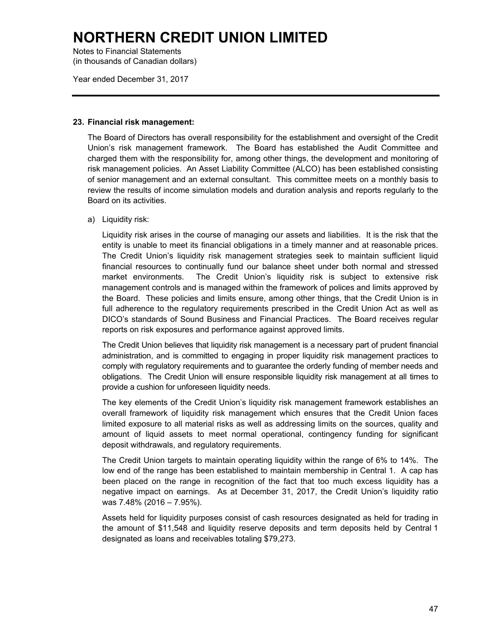Notes to Financial Statements (in thousands of Canadian dollars)

Year ended December 31, 2017

#### **23. Financial risk management:**

The Board of Directors has overall responsibility for the establishment and oversight of the Credit Union's risk management framework. The Board has established the Audit Committee and charged them with the responsibility for, among other things, the development and monitoring of risk management policies. An Asset Liability Committee (ALCO) has been established consisting of senior management and an external consultant. This committee meets on a monthly basis to review the results of income simulation models and duration analysis and reports regularly to the Board on its activities.

### a) Liquidity risk:

Liquidity risk arises in the course of managing our assets and liabilities. It is the risk that the entity is unable to meet its financial obligations in a timely manner and at reasonable prices. The Credit Union's liquidity risk management strategies seek to maintain sufficient liquid financial resources to continually fund our balance sheet under both normal and stressed market environments. The Credit Union's liquidity risk is subject to extensive risk management controls and is managed within the framework of polices and limits approved by the Board. These policies and limits ensure, among other things, that the Credit Union is in full adherence to the regulatory requirements prescribed in the Credit Union Act as well as DICO's standards of Sound Business and Financial Practices. The Board receives regular reports on risk exposures and performance against approved limits.

The Credit Union believes that liquidity risk management is a necessary part of prudent financial administration, and is committed to engaging in proper liquidity risk management practices to comply with regulatory requirements and to guarantee the orderly funding of member needs and obligations. The Credit Union will ensure responsible liquidity risk management at all times to provide a cushion for unforeseen liquidity needs.

The key elements of the Credit Union's liquidity risk management framework establishes an overall framework of liquidity risk management which ensures that the Credit Union faces limited exposure to all material risks as well as addressing limits on the sources, quality and amount of liquid assets to meet normal operational, contingency funding for significant deposit withdrawals, and regulatory requirements.

The Credit Union targets to maintain operating liquidity within the range of 6% to 14%. The low end of the range has been established to maintain membership in Central 1. A cap has been placed on the range in recognition of the fact that too much excess liquidity has a negative impact on earnings. As at December 31, 2017, the Credit Union's liquidity ratio was 7.48% (2016 – 7.95%).

Assets held for liquidity purposes consist of cash resources designated as held for trading in the amount of \$11,548 and liquidity reserve deposits and term deposits held by Central 1 designated as loans and receivables totaling \$79,273.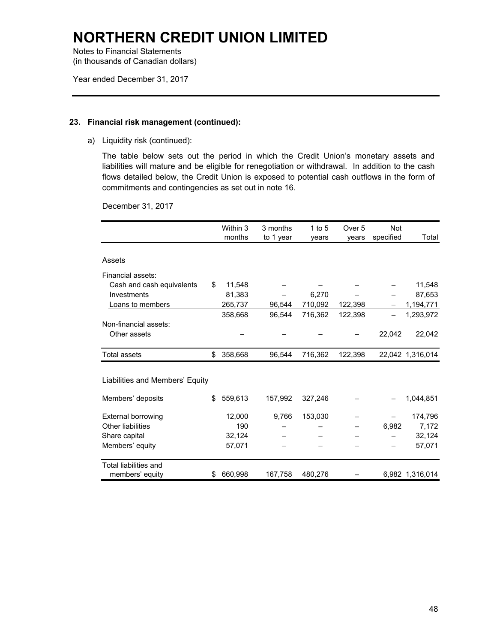Notes to Financial Statements (in thousands of Canadian dollars)

Year ended December 31, 2017

#### **23. Financial risk management (continued):**

a) Liquidity risk (continued):

The table below sets out the period in which the Credit Union's monetary assets and liabilities will mature and be eligible for renegotiation or withdrawal. In addition to the cash flows detailed below, the Credit Union is exposed to potential cash outflows in the form of commitments and contingencies as set out in note 16.

December 31, 2017

|                                 |    | Within 3<br>months | 3 months<br>to 1 year | 1 to $5$<br>years | Over 5<br>years | Not<br>specified | Total            |
|---------------------------------|----|--------------------|-----------------------|-------------------|-----------------|------------------|------------------|
| Assets                          |    |                    |                       |                   |                 |                  |                  |
| Financial assets:               |    |                    |                       |                   |                 |                  |                  |
| Cash and cash equivalents       | \$ | 11,548             |                       |                   |                 |                  | 11,548           |
| Investments                     |    | 81,383             |                       | 6,270             |                 |                  | 87,653           |
| Loans to members                |    | 265,737            | 96,544                | 710,092           | 122,398         |                  | 1,194,771        |
|                                 |    | 358,668            | 96,544                | 716,362           | 122,398         | —                | 1,293,972        |
| Non-financial assets:           |    |                    |                       |                   |                 |                  |                  |
| Other assets                    |    |                    |                       |                   |                 | 22,042           | 22,042           |
| <b>Total assets</b>             | \$ | 358,668            | 96,544                | 716,362           | 122,398         |                  | 22,042 1,316,014 |
| Liabilities and Members' Equity |    |                    |                       |                   |                 |                  |                  |
| Members' deposits               | \$ | 559,613            | 157,992               | 327,246           |                 |                  | 1,044,851        |
| <b>External borrowing</b>       |    | 12,000             | 9,766                 | 153,030           |                 |                  | 174,796          |
| Other liabilities               |    | 190                |                       |                   |                 | 6,982            | 7,172            |
| Share capital                   |    | 32,124             |                       |                   |                 |                  | 32,124           |
| Members' equity                 |    | 57,071             |                       |                   |                 |                  | 57,071           |
| Total liabilities and           |    |                    |                       |                   |                 |                  |                  |
| members' equity                 | S  | 660,998            | 167,758               | 480,276           |                 |                  | 6,982 1,316,014  |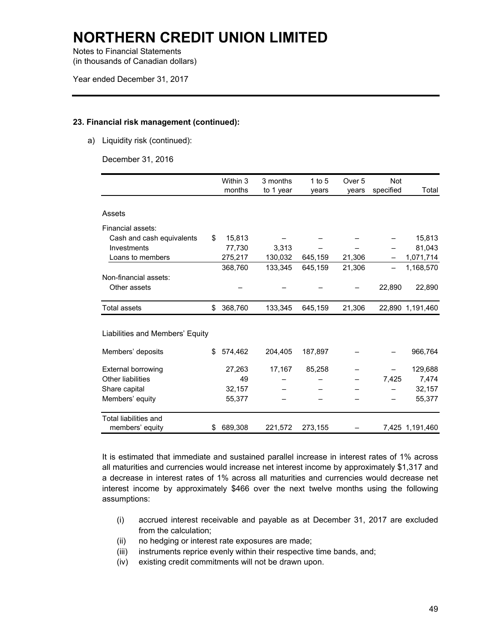Notes to Financial Statements (in thousands of Canadian dollars)

Year ended December 31, 2017

#### **23. Financial risk management (continued):**

a) Liquidity risk (continued):

December 31, 2016

|                                 | Within 3      | 3 months  | 1 to $5$ | Over 5 | Not       |                  |
|---------------------------------|---------------|-----------|----------|--------|-----------|------------------|
|                                 | months        | to 1 year | years    | years  | specified | Total            |
|                                 |               |           |          |        |           |                  |
| Assets                          |               |           |          |        |           |                  |
| Financial assets:               |               |           |          |        |           |                  |
| Cash and cash equivalents       | \$<br>15,813  |           |          |        |           | 15,813           |
| Investments                     | 77,730        | 3,313     |          |        |           | 81,043           |
| Loans to members                | 275,217       | 130,032   | 645,159  | 21,306 | —         | 1,071,714        |
|                                 | 368,760       | 133,345   | 645,159  | 21,306 |           | 1,168,570        |
| Non-financial assets:           |               |           |          |        |           |                  |
| Other assets                    |               |           |          |        | 22,890    | 22,890           |
|                                 |               |           |          |        |           |                  |
| <b>Total assets</b>             | \$<br>368,760 | 133,345   | 645,159  | 21,306 |           | 22,890 1,191,460 |
|                                 |               |           |          |        |           |                  |
| Liabilities and Members' Equity |               |           |          |        |           |                  |
|                                 |               |           |          |        |           |                  |
| Members' deposits               | \$<br>574,462 | 204,405   | 187,897  |        |           | 966,764          |
| <b>External borrowing</b>       | 27,263        | 17,167    | 85,258   |        |           | 129,688          |
| <b>Other liabilities</b>        | 49            |           |          |        | 7,425     | 7,474            |
| Share capital                   | 32,157        |           |          |        |           | 32,157           |
| Members' equity                 | 55,377        |           |          |        |           | 55,377           |
|                                 |               |           |          |        |           |                  |
| Total liabilities and           |               |           |          |        |           |                  |
| members' equity                 | \$<br>689,308 | 221,572   | 273,155  |        |           | 7,425 1,191,460  |

It is estimated that immediate and sustained parallel increase in interest rates of 1% across all maturities and currencies would increase net interest income by approximately \$1,317 and a decrease in interest rates of 1% across all maturities and currencies would decrease net interest income by approximately \$466 over the next twelve months using the following assumptions:

- (i) accrued interest receivable and payable as at December 31, 2017 are excluded from the calculation;
- (ii) no hedging or interest rate exposures are made;
- (iii) instruments reprice evenly within their respective time bands, and;
- (iv) existing credit commitments will not be drawn upon.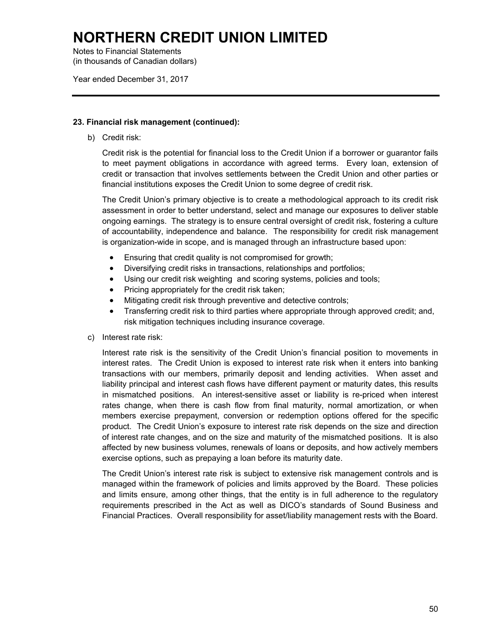Notes to Financial Statements (in thousands of Canadian dollars)

Year ended December 31, 2017

#### **23. Financial risk management (continued):**

b) Credit risk:

Credit risk is the potential for financial loss to the Credit Union if a borrower or guarantor fails to meet payment obligations in accordance with agreed terms. Every loan, extension of credit or transaction that involves settlements between the Credit Union and other parties or financial institutions exposes the Credit Union to some degree of credit risk.

The Credit Union's primary objective is to create a methodological approach to its credit risk assessment in order to better understand, select and manage our exposures to deliver stable ongoing earnings. The strategy is to ensure central oversight of credit risk, fostering a culture of accountability, independence and balance. The responsibility for credit risk management is organization-wide in scope, and is managed through an infrastructure based upon:

- Ensuring that credit quality is not compromised for growth;
- Diversifying credit risks in transactions, relationships and portfolios;
- Using our credit risk weighting and scoring systems, policies and tools;
- Pricing appropriately for the credit risk taken;
- Mitigating credit risk through preventive and detective controls;
- Transferring credit risk to third parties where appropriate through approved credit; and, risk mitigation techniques including insurance coverage.
- c) Interest rate risk:

Interest rate risk is the sensitivity of the Credit Union's financial position to movements in interest rates. The Credit Union is exposed to interest rate risk when it enters into banking transactions with our members, primarily deposit and lending activities. When asset and liability principal and interest cash flows have different payment or maturity dates, this results in mismatched positions. An interest-sensitive asset or liability is re-priced when interest rates change, when there is cash flow from final maturity, normal amortization, or when members exercise prepayment, conversion or redemption options offered for the specific product. The Credit Union's exposure to interest rate risk depends on the size and direction of interest rate changes, and on the size and maturity of the mismatched positions. It is also affected by new business volumes, renewals of loans or deposits, and how actively members exercise options, such as prepaying a loan before its maturity date.

The Credit Union's interest rate risk is subject to extensive risk management controls and is managed within the framework of policies and limits approved by the Board. These policies and limits ensure, among other things, that the entity is in full adherence to the regulatory requirements prescribed in the Act as well as DICO's standards of Sound Business and Financial Practices. Overall responsibility for asset/liability management rests with the Board.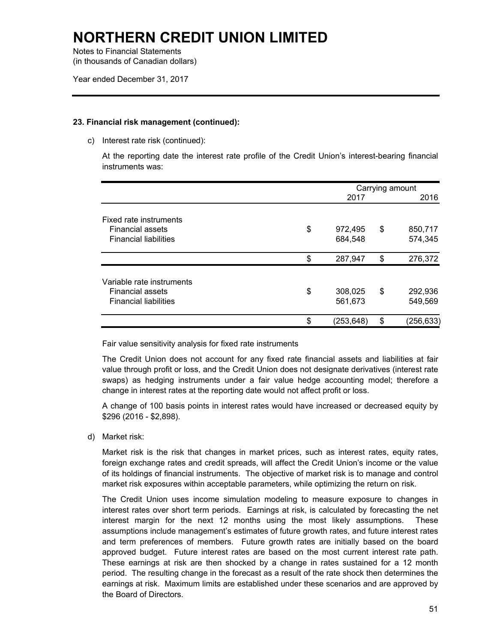Notes to Financial Statements (in thousands of Canadian dollars)

Year ended December 31, 2017

#### **23. Financial risk management (continued):**

c) Interest rate risk (continued):

At the reporting date the interest rate profile of the Credit Union's interest-bearing financial instruments was:

|                                                                                      |                          | Carrying amount |                    |  |
|--------------------------------------------------------------------------------------|--------------------------|-----------------|--------------------|--|
|                                                                                      | 2017                     |                 | 2016               |  |
| Fixed rate instruments<br><b>Financial assets</b><br><b>Financial liabilities</b>    | \$<br>972,495<br>684,548 | \$              | 850,717<br>574,345 |  |
|                                                                                      | \$<br>287,947            | \$              | 276,372            |  |
| Variable rate instruments<br><b>Financial assets</b><br><b>Financial liabilities</b> | \$<br>308,025<br>561,673 | \$              | 292,936<br>549,569 |  |
|                                                                                      | \$<br>(253, 648)         | \$              | (256,633)          |  |

Fair value sensitivity analysis for fixed rate instruments

The Credit Union does not account for any fixed rate financial assets and liabilities at fair value through profit or loss, and the Credit Union does not designate derivatives (interest rate swaps) as hedging instruments under a fair value hedge accounting model; therefore a change in interest rates at the reporting date would not affect profit or loss.

A change of 100 basis points in interest rates would have increased or decreased equity by \$296 (2016 - \$2,898).

d) Market risk:

Market risk is the risk that changes in market prices, such as interest rates, equity rates, foreign exchange rates and credit spreads, will affect the Credit Union's income or the value of its holdings of financial instruments. The objective of market risk is to manage and control market risk exposures within acceptable parameters, while optimizing the return on risk.

The Credit Union uses income simulation modeling to measure exposure to changes in interest rates over short term periods. Earnings at risk, is calculated by forecasting the net interest margin for the next 12 months using the most likely assumptions. These assumptions include management's estimates of future growth rates, and future interest rates and term preferences of members. Future growth rates are initially based on the board approved budget. Future interest rates are based on the most current interest rate path. These earnings at risk are then shocked by a change in rates sustained for a 12 month period. The resulting change in the forecast as a result of the rate shock then determines the earnings at risk. Maximum limits are established under these scenarios and are approved by the Board of Directors.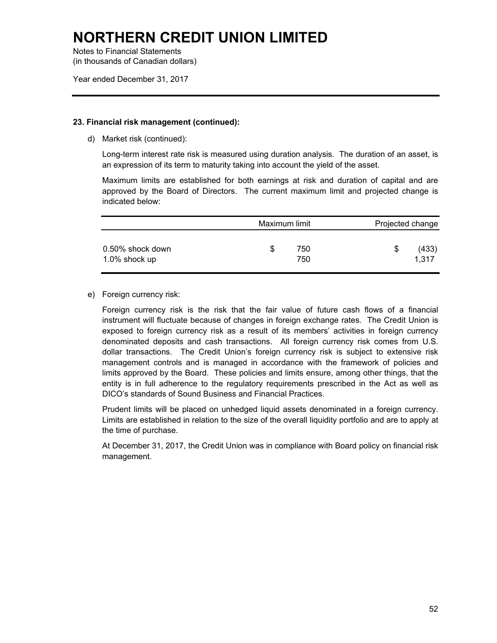Notes to Financial Statements (in thousands of Canadian dollars)

Year ended December 31, 2017

#### **23. Financial risk management (continued):**

d) Market risk (continued):

Long-term interest rate risk is measured using duration analysis. The duration of an asset, is an expression of its term to maturity taking into account the yield of the asset.

Maximum limits are established for both earnings at risk and duration of capital and are approved by the Board of Directors. The current maximum limit and projected change is indicated below:

|                                   | Maximum limit |            | Projected change |                |  |
|-----------------------------------|---------------|------------|------------------|----------------|--|
| 0.50% shock down<br>1.0% shock up | S             | 750<br>750 | \$               | (433)<br>1,317 |  |

e) Foreign currency risk:

 Foreign currency risk is the risk that the fair value of future cash flows of a financial instrument will fluctuate because of changes in foreign exchange rates. The Credit Union is exposed to foreign currency risk as a result of its members' activities in foreign currency denominated deposits and cash transactions. All foreign currency risk comes from U.S. dollar transactions. The Credit Union's foreign currency risk is subject to extensive risk management controls and is managed in accordance with the framework of policies and limits approved by the Board. These policies and limits ensure, among other things, that the entity is in full adherence to the regulatory requirements prescribed in the Act as well as DICO's standards of Sound Business and Financial Practices.

Prudent limits will be placed on unhedged liquid assets denominated in a foreign currency. Limits are established in relation to the size of the overall liquidity portfolio and are to apply at the time of purchase.

At December 31, 2017, the Credit Union was in compliance with Board policy on financial risk management.